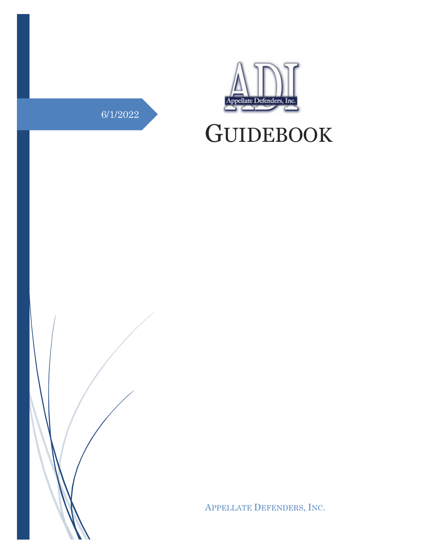# 6/1/2022



# **GUIDEBOOK**



APPELLATE DEFENDERS, INC.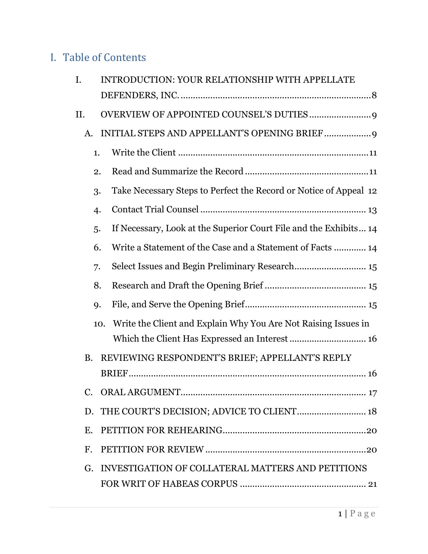# I. Table of Contents

| I. |             | <b>INTRODUCTION: YOUR RELATIONSHIP WITH APPELLATE</b>             |
|----|-------------|-------------------------------------------------------------------|
|    |             |                                                                   |
| Η. |             |                                                                   |
|    | A.          |                                                                   |
|    | 1.          |                                                                   |
|    | 2.          |                                                                   |
|    | 3.          | Take Necessary Steps to Perfect the Record or Notice of Appeal 12 |
|    | 4.          |                                                                   |
|    | 5.          | If Necessary, Look at the Superior Court File and the Exhibits 14 |
|    | 6.          | Write a Statement of the Case and a Statement of Facts  14        |
|    | 7.          |                                                                   |
|    | 8.          |                                                                   |
|    | 9.          |                                                                   |
|    | 10.         | Write the Client and Explain Why You Are Not Raising Issues in    |
|    |             |                                                                   |
|    | <b>B.</b>   | REVIEWING RESPONDENT'S BRIEF; APPELLANT'S REPLY                   |
|    |             |                                                                   |
|    |             |                                                                   |
|    | D.          | THE COURT'S DECISION; ADVICE TO CLIENT 18                         |
|    | E.          |                                                                   |
|    | $F_{\cdot}$ |                                                                   |
|    | G.          | INVESTIGATION OF COLLATERAL MATTERS AND PETITIONS                 |
|    |             |                                                                   |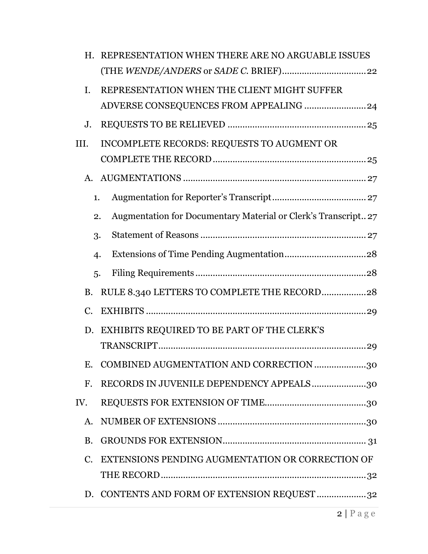| H.             |                | REPRESENTATION WHEN THERE ARE NO ARGUABLE ISSUES               |
|----------------|----------------|----------------------------------------------------------------|
|                |                |                                                                |
| I.             |                | REPRESENTATION WHEN THE CLIENT MIGHT SUFFER                    |
|                |                | ADVERSE CONSEQUENCES FROM APPEALING  24                        |
| J.             |                |                                                                |
| III.           |                | INCOMPLETE RECORDS: REQUESTS TO AUGMENT OR                     |
|                |                |                                                                |
| A.             |                |                                                                |
|                | 1.             |                                                                |
|                | 2.             | Augmentation for Documentary Material or Clerk's Transcript 27 |
|                | 3.             |                                                                |
|                | $\overline{4}$ |                                                                |
|                | 5.             |                                                                |
| <b>B.</b>      |                | RULE 8.340 LETTERS TO COMPLETE THE RECORD28                    |
| C.             |                |                                                                |
| D.             |                | EXHIBITS REQUIRED TO BE PART OF THE CLERK'S                    |
|                |                |                                                                |
| Е.             |                | COMBINED AUGMENTATION AND CORRECTION 30                        |
| F <sub>r</sub> |                | RECORDS IN JUVENILE DEPENDENCY APPEALS30                       |
| IV.            |                |                                                                |
| A.             |                |                                                                |
| <b>B.</b>      |                |                                                                |
| C.             |                | EXTENSIONS PENDING AUGMENTATION OR CORRECTION OF               |
|                |                |                                                                |
|                |                | D. CONTENTS AND FORM OF EXTENSION REQUEST 32                   |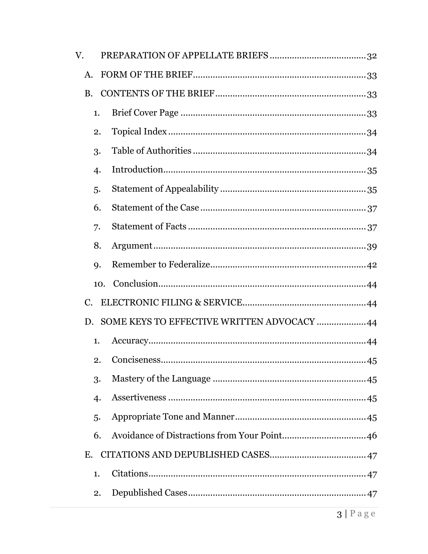| V. |                  |                                            |  |
|----|------------------|--------------------------------------------|--|
| A. |                  |                                            |  |
|    | <b>B.</b>        |                                            |  |
|    | 1.               |                                            |  |
|    | 2.               |                                            |  |
|    | 3.               |                                            |  |
|    | $\overline{4}$ . |                                            |  |
|    | 5.               |                                            |  |
|    | 6.               |                                            |  |
|    | 7.               |                                            |  |
|    | 8.               |                                            |  |
|    | <b>q.</b>        |                                            |  |
|    | 10.              |                                            |  |
| C. |                  |                                            |  |
|    | D.               | SOME KEYS TO EFFECTIVE WRITTEN ADVOCACY 44 |  |
|    | 1.               |                                            |  |
|    | 2.               |                                            |  |
|    | 3.               |                                            |  |
|    | $\overline{4}$   |                                            |  |
|    | 5.               |                                            |  |
|    | 6.               |                                            |  |
|    | E.               |                                            |  |
|    | 1.               |                                            |  |
|    | 2.               |                                            |  |
|    |                  |                                            |  |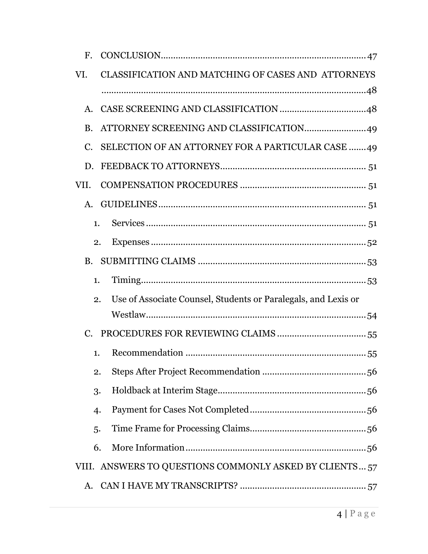| CLASSIFICATION AND MATCHING OF CASES AND ATTORNEYS                   |
|----------------------------------------------------------------------|
|                                                                      |
|                                                                      |
|                                                                      |
| SELECTION OF AN ATTORNEY FOR A PARTICULAR CASE 49                    |
|                                                                      |
|                                                                      |
|                                                                      |
| $\mathbf{1}$ .                                                       |
| 2.                                                                   |
|                                                                      |
| 1.                                                                   |
| Use of Associate Counsel, Students or Paralegals, and Lexis or<br>2. |
|                                                                      |
|                                                                      |
| 1.                                                                   |
| 2.                                                                   |
| 3.                                                                   |
| 4.                                                                   |
| 5.                                                                   |
|                                                                      |
| 6.                                                                   |
| VIII. ANSWERS TO QUESTIONS COMMONLY ASKED BY CLIENTS 57              |
|                                                                      |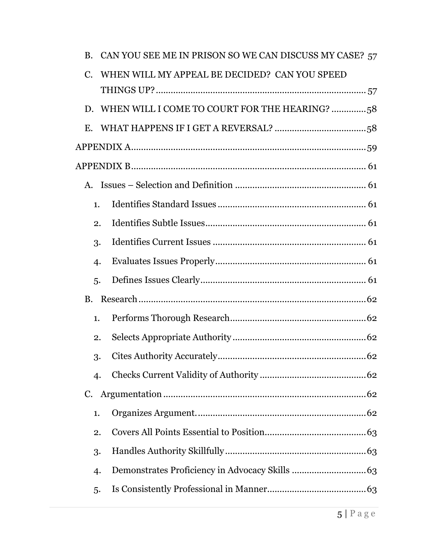|                | B. CAN YOU SEE ME IN PRISON SO WE CAN DISCUSS MY CASE? 57 |
|----------------|-----------------------------------------------------------|
|                | WHEN WILL MY APPEAL BE DECIDED? CAN YOU SPEED             |
|                |                                                           |
|                | D. WHEN WILL I COME TO COURT FOR THE HEARING? 58          |
|                |                                                           |
|                |                                                           |
|                |                                                           |
|                |                                                           |
| 1.             |                                                           |
| 2.             |                                                           |
| 3.             |                                                           |
| 4.             |                                                           |
| 5.             |                                                           |
| <b>B.</b>      |                                                           |
| 1.             |                                                           |
| 2.             |                                                           |
| 3.             |                                                           |
| $\overline{4}$ |                                                           |
| C.             |                                                           |
| 1.             |                                                           |
| 2.             |                                                           |
| 3.             |                                                           |
| $\overline{4}$ |                                                           |
| 5.             |                                                           |
|                |                                                           |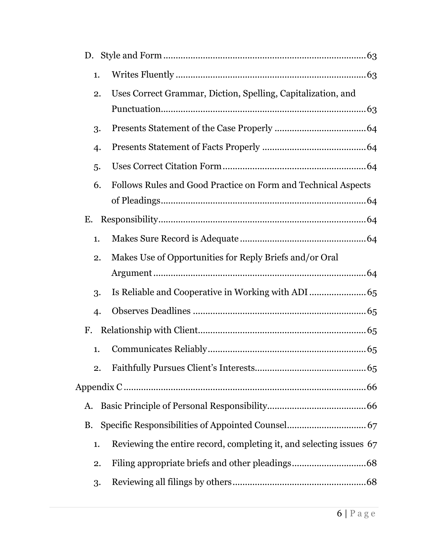| Uses Correct Grammar, Diction, Spelling, Capitalization, and        |
|---------------------------------------------------------------------|
|                                                                     |
|                                                                     |
|                                                                     |
|                                                                     |
| Follows Rules and Good Practice on Form and Technical Aspects       |
|                                                                     |
|                                                                     |
|                                                                     |
| Makes Use of Opportunities for Reply Briefs and/or Oral             |
|                                                                     |
|                                                                     |
|                                                                     |
|                                                                     |
|                                                                     |
| 2.                                                                  |
|                                                                     |
|                                                                     |
|                                                                     |
|                                                                     |
| Reviewing the entire record, completing it, and selecting issues 67 |
| 2.                                                                  |
| 2.<br>3.<br>4.<br>5.<br>6.<br>2.<br>3.<br>$\overline{4}$            |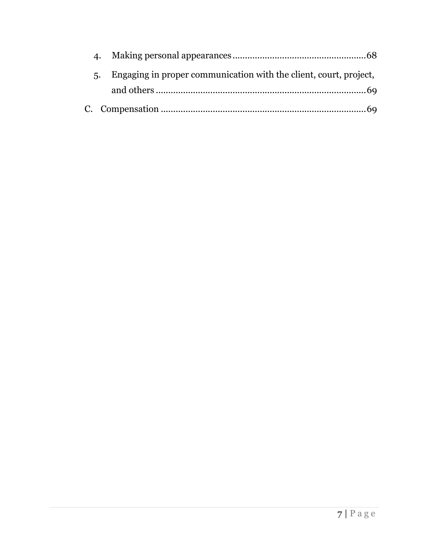| Engaging in proper communication with the client, court, project, |  |
|-------------------------------------------------------------------|--|
|                                                                   |  |
|                                                                   |  |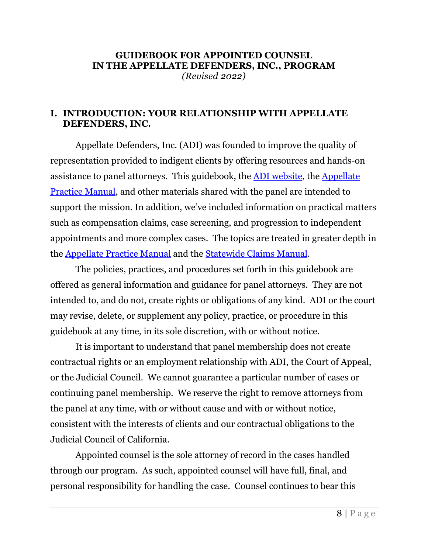#### **GUIDEBOOK FOR APPOINTED COUNSEL IN THE APPELLATE DEFENDERS, INC., PROGRAM** *(Revised 2022)*

## <span id="page-8-0"></span>**I. INTRODUCTION: YOUR RELATIONSHIP WITH APPELLATE DEFENDERS, INC.**

Appellate Defenders, Inc. (ADI) was founded to improve the quality of representation provided to indigent clients by offering resources and hands-on assistance to panel attorneys. This guidebook, the **ADI** [website,](http://adi-sandiego.com/index.asp) the **Appellate** [Practice Manual,](http://adi-sandiego.com/panel/manual.asp) and other materials shared with the panel are intended to support the mission. In addition, we've included information on practical matters such as compensation claims, case screening, and progression to independent appointments and more complex cases. The topics are treated in greater depth in the [Appellate Practice Manual](http://adi-sandiego.com/panel/manual.asp) and the [Statewide Claims Manual.](https://www.capcentral.org/claims/statewide_claims_manual.pdf)

The policies, practices, and procedures set forth in this guidebook are offered as general information and guidance for panel attorneys. They are not intended to, and do not, create rights or obligations of any kind. ADI or the court may revise, delete, or supplement any policy, practice, or procedure in this guidebook at any time, in its sole discretion, with or without notice.

It is important to understand that panel membership does not create contractual rights or an employment relationship with ADI, the Court of Appeal, or the Judicial Council. We cannot guarantee a particular number of cases or continuing panel membership. We reserve the right to remove attorneys from the panel at any time, with or without cause and with or without notice, consistent with the interests of clients and our contractual obligations to the Judicial Council of California.

Appointed counsel is the sole attorney of record in the cases handled through our program. As such, appointed counsel will have full, final, and personal responsibility for handling the case. Counsel continues to bear this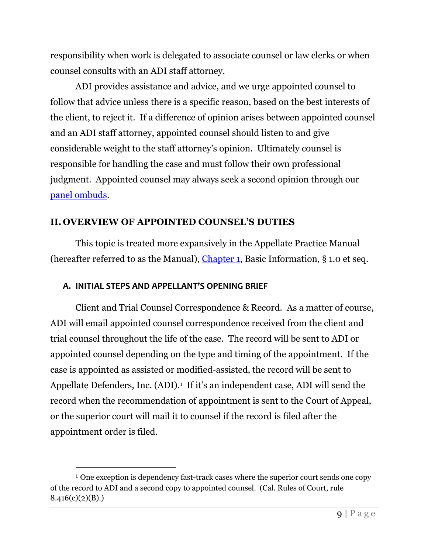responsibility when work is delegated to associate counsel or law clerks or when counsel consults with an ADI staff attorney.

ADI provides assistance and advice, and we urge appointed counsel to follow that advice unless there is a specific reason, based on the best interests of the client, to reject it. If a difference of opinion arises between appointed counsel and an ADI staff attorney, appointed counsel should listen to and give considerable weight to the staff attorney's opinion. Ultimately counsel is responsible for handling the case and must follow their own professional judgment. Appointed counsel may always seek a second opinion through our [panel ombuds.](http://adi-sandiego.com/panel/ombudsman.asp)

## <span id="page-9-0"></span>**II. OVERVIEW OF APPOINTED COUNSEL'S DUTIES**

This topic is treated more expansively in the Appellate Practice Manual (hereafter referred to as the Manual), [Chapter 1,](http://adi-sandiego.com/panel/manual/Chapter_1_Basic_Information.pdf#202007) Basic Information, § 1.0 et seq.

## <span id="page-9-1"></span>**A. INITIAL STEPS AND APPELLANT'S OPENING BRIEF**

Client and Trial Counsel Correspondence & Record. As a matter of course, ADI will email appointed counsel correspondence received from the client and trial counsel throughout the life of the case. The record will be sent to ADI or appointed counsel depending on the type and timing of the appointment. If the case is appointed as assisted or modified-assisted, the record will be sent to Appellate Defenders, Inc. (ADI).<sup>1</sup> If it's an independent case, ADI will send the record when the recommendation of appointment is sent to the Court of Appeal, or the superior court will mail it to counsel if the record is filed after the appointment order is filed.

<sup>&</sup>lt;sup>1</sup> One exception is dependency fast-track cases where the superior court sends one copy of the record to ADI and a second copy to appointed counsel. (Cal. Rules of Court, rule  $8.416(c)(2)(B)$ .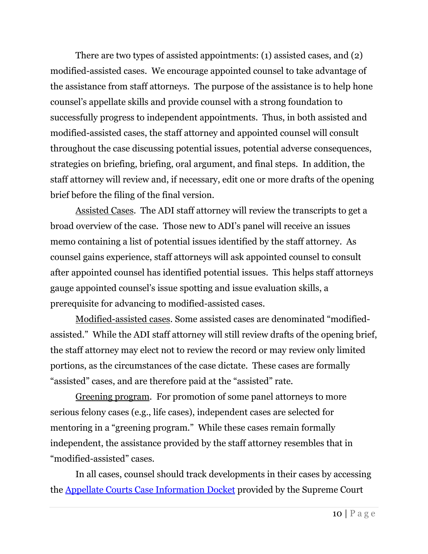There are two types of assisted appointments: (1) assisted cases, and (2) modified-assisted cases. We encourage appointed counsel to take advantage of the assistance from staff attorneys. The purpose of the assistance is to help hone counsel's appellate skills and provide counsel with a strong foundation to successfully progress to independent appointments. Thus, in both assisted and modified-assisted cases, the staff attorney and appointed counsel will consult throughout the case discussing potential issues, potential adverse consequences, strategies on briefing, briefing, oral argument, and final steps. In addition, the staff attorney will review and, if necessary, edit one or more drafts of the opening brief before the filing of the final version.

Assisted Cases. The ADI staff attorney will review the transcripts to get a broad overview of the case. Those new to ADI's panel will receive an issues memo containing a list of potential issues identified by the staff attorney. As counsel gains experience, staff attorneys will ask appointed counsel to consult after appointed counsel has identified potential issues. This helps staff attorneys gauge appointed counsel's issue spotting and issue evaluation skills, a prerequisite for advancing to modified-assisted cases.

Modified-assisted cases. Some assisted cases are denominated "modifiedassisted." While the ADI staff attorney will still review drafts of the opening brief, the staff attorney may elect not to review the record or may review only limited portions, as the circumstances of the case dictate. These cases are formally "assisted" cases, and are therefore paid at the "assisted" rate.

Greening program. For promotion of some panel attorneys to more serious felony cases (e.g., life cases), independent cases are selected for mentoring in a "greening program." While these cases remain formally independent, the assistance provided by the staff attorney resembles that in "modified-assisted" cases.

In all cases, counsel should track developments in their cases by accessing the [Appellate Courts Case Information Docket](https://appellatecases.courtinfo.ca.gov/search/case/dockets.cfm?dist=41&doc_id=2350257&doc_no=D078986&request_token=NiIwLSEmPkw9W1BZSyNNXElIQFg6UkxbJCBeIzJSUCAgCg%3D%3D) provided by the Supreme Court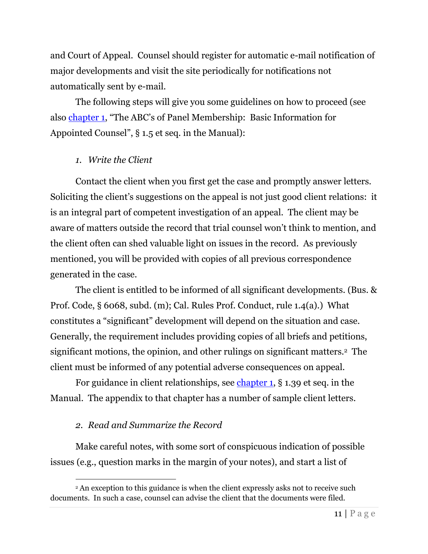and Court of Appeal. Counsel should register for automatic e-mail notification of major developments and visit the site periodically for notifications not automatically sent by e-mail.

The following steps will give you some guidelines on how to proceed (see also [chapter 1](http://adi-sandiego.com/panel/manual/Chapter_1_Basic_Information.pdf#202007), "The ABC's of Panel Membership: Basic Information for Appointed Counsel", § 1.5 et seq. in the Manual):

## <span id="page-11-0"></span>*1. Write the Client*

Contact the client when you first get the case and promptly answer letters. Soliciting the client's suggestions on the appeal is not just good client relations: it is an integral part of competent investigation of an appeal. The client may be aware of matters outside the record that trial counsel won't think to mention, and the client often can shed valuable light on issues in the record. As previously mentioned, you will be provided with copies of all previous correspondence generated in the case.

The client is entitled to be informed of all significant developments. (Bus. & Prof. Code, § 6068, subd. (m); Cal. Rules Prof. Conduct, rule 1.4(a).) What constitutes a "significant" development will depend on the situation and case. Generally, the requirement includes providing copies of all briefs and petitions, significant motions, the opinion, and other rulings on significant matters.2 The client must be informed of any potential adverse consequences on appeal.

For guidance in client relationships, see [chapter 1,](http://adi-sandiego.com/panel/manual/Chapter_1_Basic_Information.pdf#202007) § 1.39 et seq. in the Manual. The appendix to that chapter has a number of sample client letters.

## <span id="page-11-1"></span>*2. Read and Summarize the Record*

Make careful notes, with some sort of conspicuous indication of possible issues (e.g., question marks in the margin of your notes), and start a list of

<sup>&</sup>lt;sup>2</sup> An exception to this guidance is when the client expressly asks not to receive such documents. In such a case, counsel can advise the client that the documents were filed.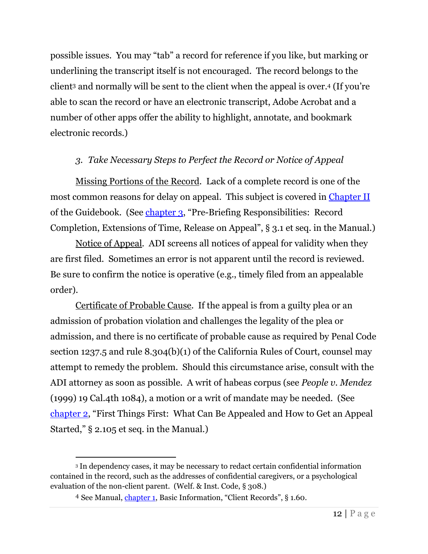possible issues. You may "tab" a record for reference if you like, but marking or underlining the transcript itself is not encouraged. The record belongs to the client<sup>3</sup> and normally will be sent to the client when the appeal is over.<sup>4</sup> (If you're able to scan the record or have an electronic transcript, Adobe Acrobat and a number of other apps offer the ability to highlight, annotate, and bookmark electronic records.)

## <span id="page-12-0"></span>*3. Take Necessary Steps to Perfect the Record or Notice of Appeal*

Missing Portions of the Record. Lack of a complete record is one of the most common reasons for delay on appeal. This subject is covered in [Chapter II](#page-28-2) of the Guidebook. (See [chapter 3](http://adi-sandiego.com/panel/manual/Chapter_3_Prebriefing_responsibilities.pdf#202007), "Pre-Briefing Responsibilities: Record Completion, Extensions of Time, Release on Appeal", § 3.1 et seq. in the Manual.)

Notice of Appeal. ADI screens all notices of appeal for validity when they are first filed. Sometimes an error is not apparent until the record is reviewed. Be sure to confirm the notice is operative (e.g., timely filed from an appealable order).

Certificate of Probable Cause. If the appeal is from a guilty plea or an admission of probation violation and challenges the legality of the plea or admission, and there is no certificate of probable cause as required by Penal Code section 1237.5 and rule 8.304(b)(1) of the California Rules of Court, counsel may attempt to remedy the problem. Should this circumstance arise, consult with the ADI attorney as soon as possible. A writ of habeas corpus (see *People v. Mendez* (1999) 19 Cal.4th 1084), a motion or a writ of mandate may be needed. (See [chapter 2](http://adi-sandiego.com/panel/manual/Chapter_2_Appealability.pdf#202007), "First Things First: What Can Be Appealed and How to Get an Appeal Started," § 2.105 et seq. in the Manual.)

<sup>3</sup> In dependency cases, it may be necessary to redact certain confidential information contained in the record, such as the addresses of confidential caregivers, or a psychological evaluation of the non-client parent. (Welf. & Inst. Code, § 308.)

<sup>4</sup> See Manual, [chapter 1](http://adi-sandiego.com/panel/manual/Chapter_1_Basic_Information.pdf#202007), Basic Information, "Client Records", § 1.60.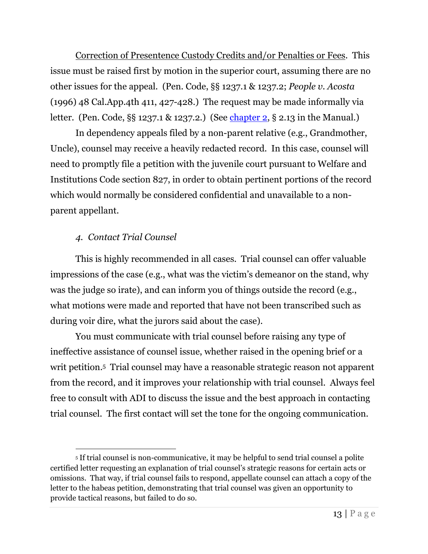Correction of Presentence Custody Credits and/or Penalties or Fees. This issue must be raised first by motion in the superior court, assuming there are no other issues for the appeal. (Pen. Code, §§ 1237.1 & 1237.2; *People v. Acosta* (1996) 48 Cal.App.4th 411, 427-428.) The request may be made informally via letter. (Pen. Code, §§ 1237.1 & 1237.2.) (See [chapter 2,](http://adi-sandiego.com/panel/manual/Chapter_2_Appealability.pdf#202007) § 2.13 in the Manual.)

In dependency appeals filed by a non-parent relative (e.g., Grandmother, Uncle), counsel may receive a heavily redacted record. In this case, counsel will need to promptly file a petition with the juvenile court pursuant to Welfare and Institutions Code section 827, in order to obtain pertinent portions of the record which would normally be considered confidential and unavailable to a nonparent appellant.

## <span id="page-13-0"></span>*4. Contact Trial Counsel*

This is highly recommended in all cases. Trial counsel can offer valuable impressions of the case (e.g., what was the victim's demeanor on the stand, why was the judge so irate), and can inform you of things outside the record (e.g., what motions were made and reported that have not been transcribed such as during voir dire, what the jurors said about the case).

You must communicate with trial counsel before raising any type of ineffective assistance of counsel issue, whether raised in the opening brief or a writ petition. 5 Trial counsel may have a reasonable strategic reason not apparent from the record, and it improves your relationship with trial counsel. Always feel free to consult with ADI to discuss the issue and the best approach in contacting trial counsel. The first contact will set the tone for the ongoing communication.

<sup>5</sup> If trial counsel is non-communicative, it may be helpful to send trial counsel a polite certified letter requesting an explanation of trial counsel's strategic reasons for certain acts or omissions. That way, if trial counsel fails to respond, appellate counsel can attach a copy of the letter to the habeas petition, demonstrating that trial counsel was given an opportunity to provide tactical reasons, but failed to do so.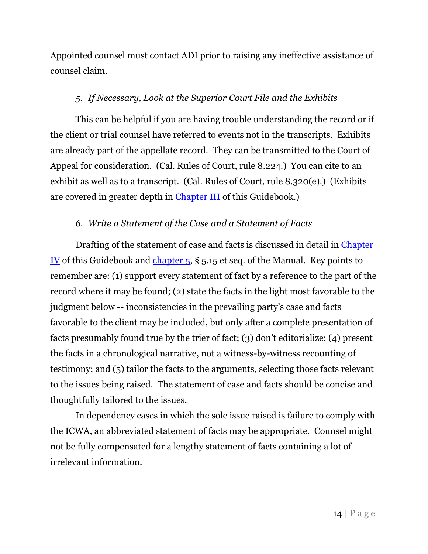Appointed counsel must contact ADI prior to raising any ineffective assistance of counsel claim.

## <span id="page-14-0"></span>*5. If Necessary, Look at the Superior Court File and the Exhibits*

This can be helpful if you are having trouble understanding the record or if the client or trial counsel have referred to events not in the transcripts. Exhibits are already part of the appellate record. They can be transmitted to the Court of Appeal for consideration. (Cal. Rules of Court, rule 8.224.) You can cite to an exhibit as well as to a transcript. (Cal. Rules of Court, rule 8.320(e).) (Exhibits are covered in greater depth in Chapter III of this Guidebook.)

## <span id="page-14-1"></span>*6. Write a Statement of the Case and a Statement of Facts*

Drafting of the statement of case and facts is discussed in detail in [Chapter](#page-37-0)  <u>[IV](#page-37-0)</u> of this Guidebook and [chapter 5,](http://adi-sandiego.com/panel/manual/Chapter_5_Briefing.pdf#202007)  $\S$  5.15 et seq. of the Manual. Key points to remember are: (1) support every statement of fact by a reference to the part of the record where it may be found; (2) state the facts in the light most favorable to the judgment below -- inconsistencies in the prevailing party's case and facts favorable to the client may be included, but only after a complete presentation of facts presumably found true by the trier of fact; (3) don't editorialize; (4) present the facts in a chronological narrative, not a witness-by-witness recounting of testimony; and (5) tailor the facts to the arguments, selecting those facts relevant to the issues being raised. The statement of case and facts should be concise and thoughtfully tailored to the issues.

In dependency cases in which the sole issue raised is failure to comply with the ICWA, an abbreviated statement of facts may be appropriate. Counsel might not be fully compensated for a lengthy statement of facts containing a lot of irrelevant information.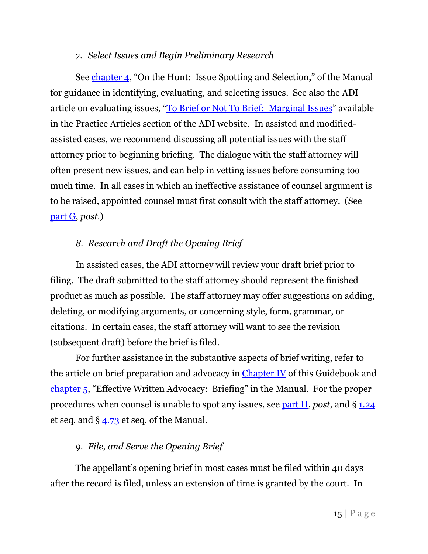## *7. Select Issues and Begin Preliminary Research*

<span id="page-15-0"></span>See [chapter 4](http://adi-sandiego.com/panel/manual/Chapter_4_Issue_spotting.pdf#202007), "On the Hunt: Issue Spotting and Selection," of the Manual for guidance in identifying, evaluating, and selecting issues. See also the ADI article on evaluating issues, "[To Brief or Not To Brief: Marginal Issues](http://adi-sandiego.com/news_alerts/pdfs/2020/To_Brief_or_Not_to_Brief-2020_rev.pdf#082020)" available in the Practice Articles section of the ADI website. In assisted and modifiedassisted cases, we recommend discussing all potential issues with the staff attorney prior to beginning briefing. The dialogue with the staff attorney will often present new issues, and can help in vetting issues before consuming too much time. In all cases in which an ineffective assistance of counsel argument is to be raised, appointed counsel must first consult with the staff attorney. (See [part G,](#page-21-0) *post*.)

## <span id="page-15-1"></span>*8. Research and Draft the Opening Brief*

In assisted cases, the ADI attorney will review your draft brief prior to filing. The draft submitted to the staff attorney should represent the finished product as much as possible. The staff attorney may offer suggestions on adding, deleting, or modifying arguments, or concerning style, form, grammar, or citations. In certain cases, the staff attorney will want to see the revision (subsequent draft) before the brief is filed.

For further assistance in the substantive aspects of brief writing, refer to the article on brief preparation and advocacy in [Chapter IV](#page-32-3) of this Guidebook and [chapter 5](http://adi-sandiego.com/panel/manual/Chapter_5_Briefing.pdf#202007), "Effective Written Advocacy: Briefing" in the Manual. For the proper procedures when counsel is unable to spot any issues, see [part H,](#page-22-0) *post*, and § [1.24](http://adi-sandiego.com/panel/manual/Chapter_1_Basic_Information.pdf#202007) et seq. and § [4.73](http://adi-sandiego.com/panel/manual/Chapter_4_Issue_spotting.pdf#202007) et seq. of the Manual.

## <span id="page-15-2"></span>*9. File, and Serve the Opening Brief*

The appellant's opening brief in most cases must be filed within 40 days after the record is filed, unless an extension of time is granted by the court. In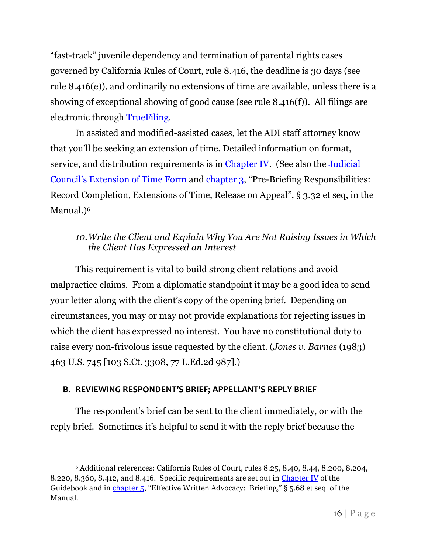"fast-track" juvenile dependency and termination of parental rights cases governed by California Rules of Court, rule 8.416, the deadline is 30 days (see rule 8.416(e)), and ordinarily no extensions of time are available, unless there is a showing of exceptional showing of good cause (see rule 8.416(f)). All filings are electronic through [TrueFiling.](https://tf3.truefiling.com/login)

In assisted and modified-assisted cases, let the ADI staff attorney know that you'll be seeking an extension of time. Detailed information on format, service, and distribution requirements is in [Chapter IV.](#page-32-1) (See also the *Judicial* [Council's Extension of Time Form](https://selfhelp.courts.ca.gov/jcc-form/CR-126) and [chapter 3](http://adi-sandiego.com/panel/manual/Chapter_3_Prebriefing_responsibilities.pdf#202007), "Pre-Briefing Responsibilities: Record Completion, Extensions of Time, Release on Appeal", § 3.32 et seq, in the Manual.)<sup>6</sup>

## <span id="page-16-0"></span>*10.Write the Client and Explain Why You Are Not Raising Issues in Which the Client Has Expressed an Interest*

This requirement is vital to build strong client relations and avoid malpractice claims. From a diplomatic standpoint it may be a good idea to send your letter along with the client's copy of the opening brief. Depending on circumstances, you may or may not provide explanations for rejecting issues in which the client has expressed no interest. You have no constitutional duty to raise every non-frivolous issue requested by the client. (*Jones v. Barnes* (1983) 463 U.S. 745 [103 S.Ct. 3308, 77 L.Ed.2d 987].)

## <span id="page-16-1"></span>**B. REVIEWING RESPONDENT'S BRIEF; APPELLANT'S REPLY BRIEF**

The respondent's brief can be sent to the client immediately, or with the reply brief. Sometimes it's helpful to send it with the reply brief because the

<sup>6</sup> Additional references: California Rules of Court, rules 8.25, 8.40, 8.44, 8.200, 8.204, 8.220, 8.360, 8.412, and 8.416. Specific requirements are set out in [Chapter IV](#page-32-3) of the Guidebook and in [chapter 5](http://adi-sandiego.com/panel/manual/Chapter_5_Briefing.pdf#202007), "Effective Written Advocacy: Briefing," § 5.68 et seq. of the Manual.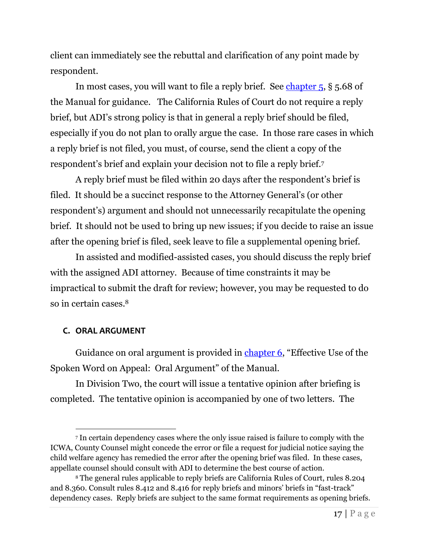client can immediately see the rebuttal and clarification of any point made by respondent.

In most cases, you will want to file a reply brief. See chapter  $5, § 5.68$  of the Manual for guidance. The California Rules of Court do not require a reply brief, but ADI's strong policy is that in general a reply brief should be filed, especially if you do not plan to orally argue the case. In those rare cases in which a reply brief is not filed, you must, of course, send the client a copy of the respondent's brief and explain your decision not to file a reply brief.<sup>7</sup>

A reply brief must be filed within 20 days after the respondent's brief is filed. It should be a succinct response to the Attorney General's (or other respondent's) argument and should not unnecessarily recapitulate the opening brief. It should not be used to bring up new issues; if you decide to raise an issue after the opening brief is filed, seek leave to file a supplemental opening brief.

In assisted and modified-assisted cases, you should discuss the reply brief with the assigned ADI attorney. Because of time constraints it may be impractical to submit the draft for review; however, you may be requested to do so in certain cases.<sup>8</sup>

## <span id="page-17-0"></span>**C. ORAL ARGUMENT**

Guidance on oral argument is provided in [chapter 6](http://adi-sandiego.com/panel/manual/Chapter_6_Oral_argument.pdf?201905), "Effective Use of the Spoken Word on Appeal: Oral Argument" of the Manual.

In Division Two, the court will issue a tentative opinion after briefing is completed. The tentative opinion is accompanied by one of two letters. The

<sup>7</sup> In certain dependency cases where the only issue raised is failure to comply with the ICWA, County Counsel might concede the error or file a request for judicial notice saying the child welfare agency has remedied the error after the opening brief was filed. In these cases, appellate counsel should consult with ADI to determine the best course of action.

<sup>8</sup> The general rules applicable to reply briefs are California Rules of Court, rules 8.204 and 8.360. Consult rules 8.412 and 8.416 for reply briefs and minors' briefs in "fast-track" dependency cases. Reply briefs are subject to the same format requirements as opening briefs.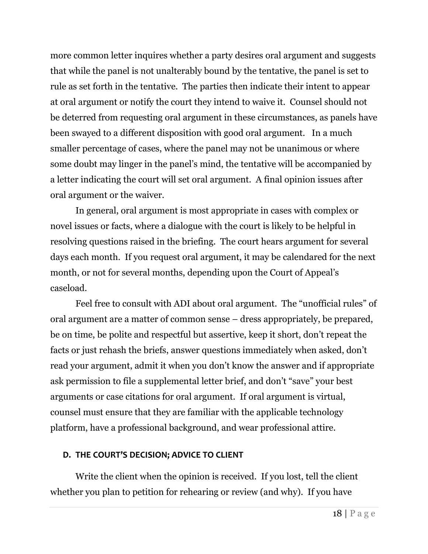more common letter inquires whether a party desires oral argument and suggests that while the panel is not unalterably bound by the tentative, the panel is set to rule as set forth in the tentative. The parties then indicate their intent to appear at oral argument or notify the court they intend to waive it. Counsel should not be deterred from requesting oral argument in these circumstances, as panels have been swayed to a different disposition with good oral argument. In a much smaller percentage of cases, where the panel may not be unanimous or where some doubt may linger in the panel's mind, the tentative will be accompanied by a letter indicating the court will set oral argument. A final opinion issues after oral argument or the waiver.

In general, oral argument is most appropriate in cases with complex or novel issues or facts, where a dialogue with the court is likely to be helpful in resolving questions raised in the briefing. The court hears argument for several days each month. If you request oral argument, it may be calendared for the next month, or not for several months, depending upon the Court of Appeal's caseload.

Feel free to consult with ADI about oral argument. The "unofficial rules" of oral argument are a matter of common sense – dress appropriately, be prepared, be on time, be polite and respectful but assertive, keep it short, don't repeat the facts or just rehash the briefs, answer questions immediately when asked, don't read your argument, admit it when you don't know the answer and if appropriate ask permission to file a supplemental letter brief, and don't "save" your best arguments or case citations for oral argument. If oral argument is virtual, counsel must ensure that they are familiar with the applicable technology platform, have a professional background, and wear professional attire.

## <span id="page-18-0"></span>**D. THE COURT'S DECISION; ADVICE TO CLIENT**

Write the client when the opinion is received. If you lost, tell the client whether you plan to petition for rehearing or review (and why). If you have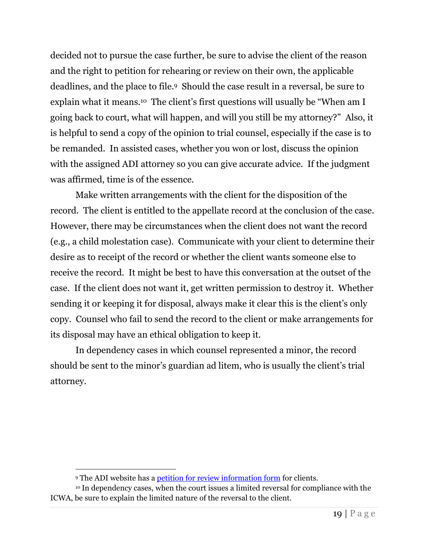decided not to pursue the case further, be sure to advise the client of the reason and the right to petition for rehearing or review on their own, the applicable deadlines, and the place to file.9 Should the case result in a reversal, be sure to explain what it means.<sup>10</sup> The client's first questions will usually be "When am I going back to court, what will happen, and will you still be my attorney?" Also, it is helpful to send a copy of the opinion to trial counsel, especially if the case is to be remanded. In assisted cases, whether you won or lost, discuss the opinion with the assigned ADI attorney so you can give accurate advice. If the judgment was affirmed, time is of the essence.

Make written arrangements with the client for the disposition of the record. The client is entitled to the appellate record at the conclusion of the case. However, there may be circumstances when the client does not want the record (e.g., a child molestation case). Communicate with your client to determine their desire as to receipt of the record or whether the client wants someone else to receive the record. It might be best to have this conversation at the outset of the case. If the client does not want it, get written permission to destroy it. Whether sending it or keeping it for disposal, always make it clear this is the client's only copy. Counsel who fail to send the record to the client or make arrangements for its disposal may have an ethical obligation to keep it.

In dependency cases in which counsel represented a minor, the record should be sent to the minor's guardian ad litem, who is usually the client's trial attorney.

<sup>9</sup> The ADI website has [a petition for review information form](http://adi-sandiego.com/practice/forms_samples/Pet_for_review_info_Oct_2012_2.pdf) for clients.

<sup>&</sup>lt;sup>10</sup> In dependency cases, when the court issues a limited reversal for compliance with the ICWA, be sure to explain the limited nature of the reversal to the client.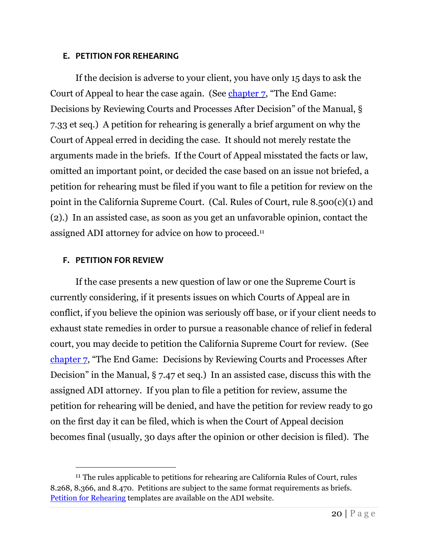#### <span id="page-20-0"></span>**E. PETITION FOR REHEARING**

If the decision is adverse to your client, you have only 15 days to ask the Court of Appeal to hear the case again. (See [chapter 7](http://adi-sandiego.com/panel/manual/Chapter_7_Decisions_and_later.pdf#202007), "The End Game: Decisions by Reviewing Courts and Processes After Decision" of the Manual, § 7.33 et seq.) A petition for rehearing is generally a brief argument on why the Court of Appeal erred in deciding the case. It should not merely restate the arguments made in the briefs. If the Court of Appeal misstated the facts or law, omitted an important point, or decided the case based on an issue not briefed, a petition for rehearing must be filed if you want to file a petition for review on the point in the California Supreme Court. (Cal. Rules of Court, rule 8.500(c)(1) and (2).) In an assisted case, as soon as you get an unfavorable opinion, contact the assigned ADI attorney for advice on how to proceed. 11

#### <span id="page-20-1"></span>**F. PETITION FOR REVIEW**

If the case presents a new question of law or one the Supreme Court is currently considering, if it presents issues on which Courts of Appeal are in conflict, if you believe the opinion was seriously off base, or if your client needs to exhaust state remedies in order to pursue a reasonable chance of relief in federal court, you may decide to petition the California Supreme Court for review. (See [chapter 7](http://adi-sandiego.com/panel/manual/Chapter_7_Decisions_and_later.pdf#202007), "The End Game: Decisions by Reviewing Courts and Processes After Decision" in the Manual, § 7.47 et seq.) In an assisted case, discuss this with the assigned ADI attorney. If you plan to file a petition for review, assume the petition for rehearing will be denied, and have the petition for review ready to go on the first day it can be filed, which is when the Court of Appeal decision becomes final (usually, 30 days after the opinion or other decision is filed). The

<sup>&</sup>lt;sup>11</sup> The rules applicable to petitions for rehearing are California Rules of Court, rules 8.268, 8.366, and 8.470. Petitions are subject to the same format requirements as briefs. [Petition for Rehearing](http://adi-sandiego.com/practice/forms_samples/Petition-for-Rehearing.pdf) templates are available on the ADI website.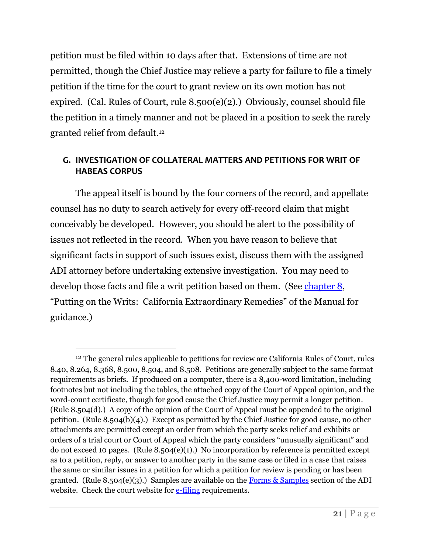petition must be filed within 10 days after that. Extensions of time are not permitted, though the Chief Justice may relieve a party for failure to file a timely petition if the time for the court to grant review on its own motion has not expired. (Cal. Rules of Court, rule 8.500(e)(2).) Obviously, counsel should file the petition in a timely manner and not be placed in a position to seek the rarely granted relief from default.<sup>12</sup>

## <span id="page-21-0"></span>**G. INVESTIGATION OF COLLATERAL MATTERS AND PETITIONS FOR WRIT OF HABEAS CORPUS**

The appeal itself is bound by the four corners of the record, and appellate counsel has no duty to search actively for every off-record claim that might conceivably be developed. However, you should be alert to the possibility of issues not reflected in the record. When you have reason to believe that significant facts in support of such issues exist, discuss them with the assigned ADI attorney before undertaking extensive investigation. You may need to develop those facts and file a writ petition based on them. (See [chapter 8,](http://adi-sandiego.com/panel/manual/Chapter_8_State_Writs.pdf#202007) "Putting on the Writs: California Extraordinary Remedies" of the Manual for guidance.)

<sup>&</sup>lt;sup>12</sup> The general rules applicable to petitions for review are California Rules of Court, rules 8.40, 8.264, 8.368, 8.500, 8.504, and 8.508. Petitions are generally subject to the same format requirements as briefs. If produced on a computer, there is a 8,400-word limitation, including footnotes but not including the tables, the attached copy of the Court of Appeal opinion, and the word-count certificate, though for good cause the Chief Justice may permit a longer petition. (Rule 8.504(d).) A copy of the opinion of the Court of Appeal must be appended to the original petition. (Rule 8.504(b)(4).) Except as permitted by the Chief Justice for good cause, no other attachments are permitted except an order from which the party seeks relief and exhibits or orders of a trial court or Court of Appeal which the party considers "unusually significant" and do not exceed 10 pages. (Rule 8.504(e)(1).) No incorporation by reference is permitted except as to a petition, reply, or answer to another party in the same case or filed in a case that raises the same or similar issues in a petition for which a petition for review is pending or has been granted. (Rule 8.504(e)(3).) Samples are available on the Forms  $&$  Samples section of the ADI website. Check the court website fo[r e-filing](https://www.courts.ca.gov/24590.htm) requirements.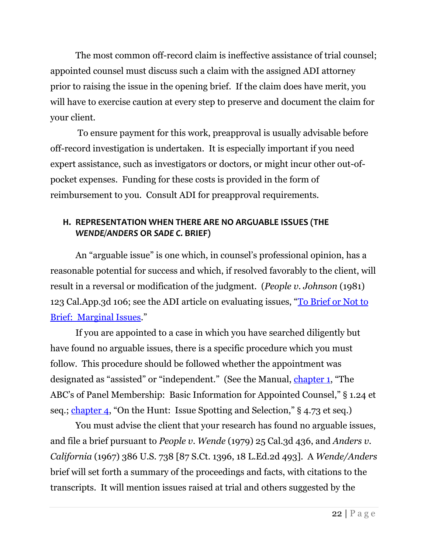The most common off-record claim is ineffective assistance of trial counsel; appointed counsel must discuss such a claim with the assigned ADI attorney prior to raising the issue in the opening brief. If the claim does have merit, you will have to exercise caution at every step to preserve and document the claim for your client.

To ensure payment for this work, preapproval is usually advisable before off-record investigation is undertaken. It is especially important if you need expert assistance, such as investigators or doctors, or might incur other out-ofpocket expenses. Funding for these costs is provided in the form of reimbursement to you. Consult ADI for preapproval requirements.

## <span id="page-22-0"></span>**H. REPRESENTATION WHEN THERE ARE NO ARGUABLE ISSUES (THE** *WENDE/ANDERS* **OR** *SADE C.* **BRIEF)**

An "arguable issue" is one which, in counsel's professional opinion, has a reasonable potential for success and which, if resolved favorably to the client, will result in a reversal or modification of the judgment. (*People v. Johnson* (1981) 123 Cal.App.3d 106; see the ADI article on evaluating issues, "[To Brief or Not to](http://adi-sandiego.com/news_alerts/pdfs/2020/To_Brief_or_Not_to_Brief-2020_rev.pdf#082020)  [Brief: Marginal Issues](http://adi-sandiego.com/news_alerts/pdfs/2020/To_Brief_or_Not_to_Brief-2020_rev.pdf#082020)."

If you are appointed to a case in which you have searched diligently but have found no arguable issues, there is a specific procedure which you must follow. This procedure should be followed whether the appointment was designated as "assisted" or "independent." (See the Manual, [chapter 1](http://adi-sandiego.com/panel/manual/Chapter_1_Basic_Information.pdf#202007), "The ABC's of Panel Membership: Basic Information for Appointed Counsel," § 1.24 et seq.; [chapter 4](http://adi-sandiego.com/panel/manual/Chapter_4_Issue_spotting.pdf#202007), "On the Hunt: Issue Spotting and Selection," § 4.73 et seq.)

You must advise the client that your research has found no arguable issues, and file a brief pursuant to *People v. Wende* (1979) 25 Cal.3d 436, and *Anders v. California* (1967) 386 U.S. 738 [87 S.Ct. 1396, 18 L.Ed.2d 493]. A *Wende/Anders* brief will set forth a summary of the proceedings and facts, with citations to the transcripts. It will mention issues raised at trial and others suggested by the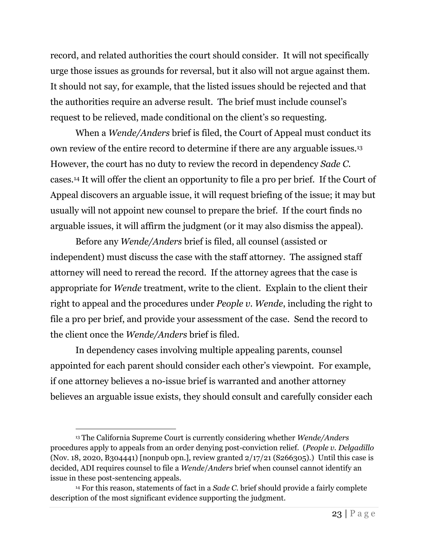record, and related authorities the court should consider. It will not specifically urge those issues as grounds for reversal, but it also will not argue against them. It should not say, for example, that the listed issues should be rejected and that the authorities require an adverse result. The brief must include counsel's request to be relieved, made conditional on the client's so requesting.

When a *Wende/Anders* brief is filed, the Court of Appeal must conduct its own review of the entire record to determine if there are any arguable issues.<sup>13</sup> However, the court has no duty to review the record in dependency *Sade C.* cases.<sup>14</sup> It will offer the client an opportunity to file a pro per brief. If the Court of Appeal discovers an arguable issue, it will request briefing of the issue; it may but usually will not appoint new counsel to prepare the brief. If the court finds no arguable issues, it will affirm the judgment (or it may also dismiss the appeal).

Before any *Wende/Anders* brief is filed, all counsel (assisted or independent) must discuss the case with the staff attorney. The assigned staff attorney will need to reread the record. If the attorney agrees that the case is appropriate for *Wende* treatment, write to the client. Explain to the client their right to appeal and the procedures under *People v. Wende*, including the right to file a pro per brief, and provide your assessment of the case. Send the record to the client once the *Wende/Anders* brief is filed.

In dependency cases involving multiple appealing parents, counsel appointed for each parent should consider each other's viewpoint. For example, if one attorney believes a no-issue brief is warranted and another attorney believes an arguable issue exists, they should consult and carefully consider each

<sup>13</sup> The California Supreme Court is currently considering whether *Wende/Anders* procedures apply to appeals from an order denying post-conviction relief. (*People v. Delgadillo* (Nov. 18, 2020, B304441) [nonpub opn.], review granted  $2/17/21$  (S266305).) Until this case is decided, ADI requires counsel to file a *Wende*/*Anders* brief when counsel cannot identify an issue in these post-sentencing appeals.

<sup>14</sup> For this reason, statements of fact in a *Sade C.* brief should provide a fairly complete description of the most significant evidence supporting the judgment.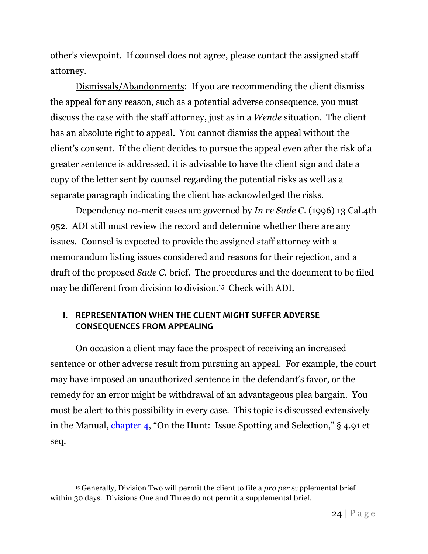other's viewpoint. If counsel does not agree, please contact the assigned staff attorney.

Dismissals/Abandonments: If you are recommending the client dismiss the appeal for any reason, such as a potential adverse consequence, you must discuss the case with the staff attorney, just as in a *Wende* situation. The client has an absolute right to appeal. You cannot dismiss the appeal without the client's consent. If the client decides to pursue the appeal even after the risk of a greater sentence is addressed, it is advisable to have the client sign and date a copy of the letter sent by counsel regarding the potential risks as well as a separate paragraph indicating the client has acknowledged the risks.

Dependency no-merit cases are governed by *In re Sade C*. (1996) 13 Cal.4th 952. ADI still must review the record and determine whether there are any issues. Counsel is expected to provide the assigned staff attorney with a memorandum listing issues considered and reasons for their rejection, and a draft of the proposed *Sade C.* brief. The procedures and the document to be filed may be different from division to division.<sup>15</sup> Check with ADI.

## <span id="page-24-0"></span>**I. REPRESENTATION WHEN THE CLIENT MIGHT SUFFER ADVERSE CONSEQUENCES FROM APPEALING**

On occasion a client may face the prospect of receiving an increased sentence or other adverse result from pursuing an appeal. For example, the court may have imposed an unauthorized sentence in the defendant's favor, or the remedy for an error might be withdrawal of an advantageous plea bargain. You must be alert to this possibility in every case. This topic is discussed extensively in the Manual, [chapter 4](http://adi-sandiego.com/panel/manual/Chapter_4_Issue_spotting.pdf#202007), "On the Hunt: Issue Spotting and Selection," § 4.91 et seq.

<sup>15</sup> Generally, Division Two will permit the client to file a *pro per* supplemental brief within 30 days. Divisions One and Three do not permit a supplemental brief.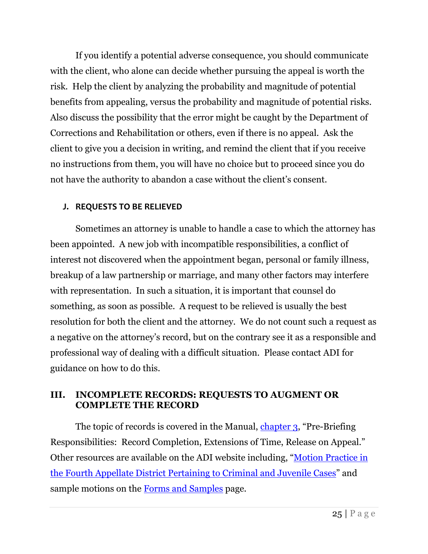If you identify a potential adverse consequence, you should communicate with the client, who alone can decide whether pursuing the appeal is worth the risk. Help the client by analyzing the probability and magnitude of potential benefits from appealing, versus the probability and magnitude of potential risks. Also discuss the possibility that the error might be caught by the Department of Corrections and Rehabilitation or others, even if there is no appeal. Ask the client to give you a decision in writing, and remind the client that if you receive no instructions from them, you will have no choice but to proceed since you do not have the authority to abandon a case without the client's consent.

## <span id="page-25-0"></span>**J. REQUESTS TO BE RELIEVED**

Sometimes an attorney is unable to handle a case to which the attorney has been appointed. A new job with incompatible responsibilities, a conflict of interest not discovered when the appointment began, personal or family illness, breakup of a law partnership or marriage, and many other factors may interfere with representation. In such a situation, it is important that counsel do something, as soon as possible. A request to be relieved is usually the best resolution for both the client and the attorney. We do not count such a request as a negative on the attorney's record, but on the contrary see it as a responsible and professional way of dealing with a difficult situation. Please contact ADI for guidance on how to do this.

## <span id="page-25-1"></span>**III. INCOMPLETE RECORDS: REQUESTS TO AUGMENT OR COMPLETE THE RECORD**

The topic of records is covered in the Manual, [chapter 3](http://adi-sandiego.com/panel/manual/Chapter_3_Prebriefing_responsibilities.pdf#202007), "Pre-Briefing" Responsibilities: Record Completion, Extensions of Time, Release on Appeal." Other resources are available on the ADI website including, "[Motion Practice in](http://www.adi-sandiego.com/practice/forms_samples/MOTION_PRACTICE_IN_THE_FOURTH_APPELLATE_DISTRICT_1_19_2022.pdf#012022)  [the Fourth Appellate District Pertaining to Criminal and Juvenile Cases](http://www.adi-sandiego.com/practice/forms_samples/MOTION_PRACTICE_IN_THE_FOURTH_APPELLATE_DISTRICT_1_19_2022.pdf#012022)" and sample motions on the [Forms and Samples](http://adi-sandiego.com/practice/forms_samples.asp) page.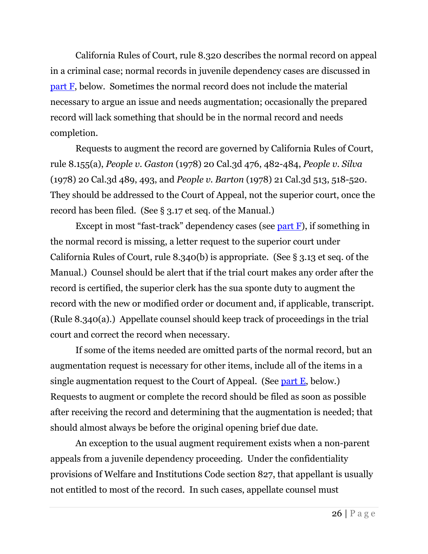California Rules of Court, rule 8.320 describes the normal record on appeal in a criminal case; normal records in juvenile dependency cases are discussed in [part F,](#page-30-1) below. Sometimes the normal record does not include the material necessary to argue an issue and needs augmentation; occasionally the prepared record will lack something that should be in the normal record and needs completion.

Requests to augment the record are governed by California Rules of Court, rule 8.155(a), *People v. Gaston* (1978) 20 Cal.3d 476, 482-484, *People v. Silva* (1978) 20 Cal.3d 489, 493, and *People v. Barton* (1978) 21 Cal.3d 513, 518-520. They should be addressed to the Court of Appeal, not the superior court, once the record has been filed. (See § 3.17 et seq. of the Manual.)

Except in most "fast-track" dependency cases (see part  $F$ ), if something in the normal record is missing, a letter request to the superior court under California Rules of Court, rule 8.340(b) is appropriate. (See § 3.13 et seq. of the Manual.) Counsel should be alert that if the trial court makes any order after the record is certified, the superior clerk has the sua sponte duty to augment the record with the new or modified order or document and, if applicable, transcript. (Rule 8.340(a).) Appellate counsel should keep track of proceedings in the trial court and correct the record when necessary.

If some of the items needed are omitted parts of the normal record, but an augmentation request is necessary for other items, include all of the items in a single augmentation request to the Court of Appeal. (See [part E,](#page-29-2) below.) Requests to augment or complete the record should be filed as soon as possible after receiving the record and determining that the augmentation is needed; that should almost always be before the original opening brief due date.

An exception to the usual augment requirement exists when a non-parent appeals from a juvenile dependency proceeding. Under the confidentiality provisions of Welfare and Institutions Code section 827, that appellant is usually not entitled to most of the record. In such cases, appellate counsel must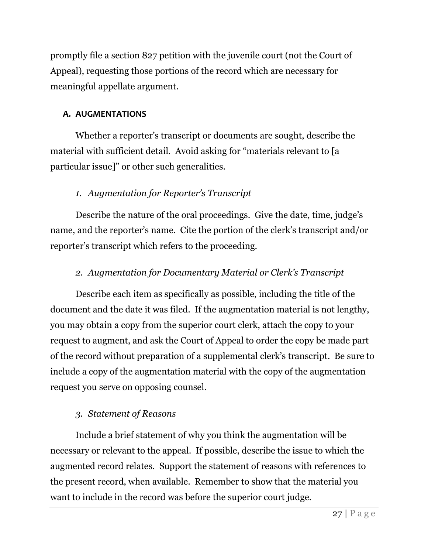promptly file a section 827 petition with the juvenile court (not the Court of Appeal), requesting those portions of the record which are necessary for meaningful appellate argument.

## <span id="page-27-0"></span>**A. AUGMENTATIONS**

Whether a reporter's transcript or documents are sought, describe the material with sufficient detail. Avoid asking for "materials relevant to [a particular issue]" or other such generalities.

## <span id="page-27-1"></span>*1. Augmentation for Reporter's Transcript*

Describe the nature of the oral proceedings. Give the date, time, judge's name, and the reporter's name. Cite the portion of the clerk's transcript and/or reporter's transcript which refers to the proceeding.

## <span id="page-27-2"></span>*2. Augmentation for Documentary Material or Clerk's Transcript*

Describe each item as specifically as possible, including the title of the document and the date it was filed. If the augmentation material is not lengthy, you may obtain a copy from the superior court clerk, attach the copy to your request to augment, and ask the Court of Appeal to order the copy be made part of the record without preparation of a supplemental clerk's transcript. Be sure to include a copy of the augmentation material with the copy of the augmentation request you serve on opposing counsel.

## <span id="page-27-3"></span>*3. Statement of Reasons*

Include a brief statement of why you think the augmentation will be necessary or relevant to the appeal. If possible, describe the issue to which the augmented record relates. Support the statement of reasons with references to the present record, when available. Remember to show that the material you want to include in the record was before the superior court judge.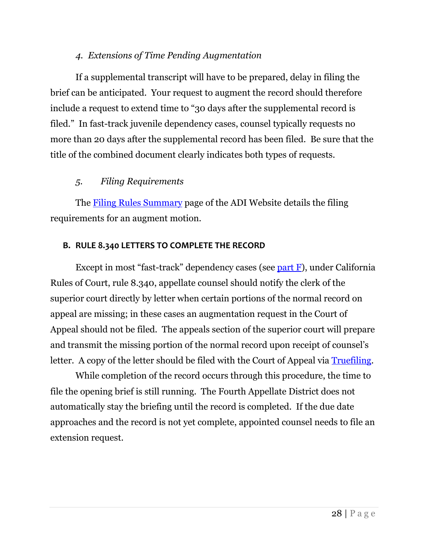## *4. Extensions of Time Pending Augmentation*

<span id="page-28-0"></span>If a supplemental transcript will have to be prepared, delay in filing the brief can be anticipated. Your request to augment the record should therefore include a request to extend time to "30 days after the supplemental record is filed." In fast-track juvenile dependency cases, counsel typically requests no more than 20 days after the supplemental record has been filed. Be sure that the title of the combined document clearly indicates both types of requests.

## <span id="page-28-1"></span>*5. Filing Requirements*

The **Filing Rules Summary** page of the ADI Website details the filing requirements for an augment motion.

#### <span id="page-28-2"></span>**B. RULE 8.340 LETTERS TO COMPLETE THE RECORD**

Except in most "fast-track" dependency cases (see [part F\)](#page-30-1), under California Rules of Court, rule 8.340, appellate counsel should notify the clerk of the superior court directly by letter when certain portions of the normal record on appeal are missing; in these cases an augmentation request in the Court of Appeal should not be filed. The appeals section of the superior court will prepare and transmit the missing portion of the normal record upon receipt of counsel's letter. A copy of the letter should be filed with the Court of Appeal via [Truefiling.](https://tf3.truefiling.com/login)

While completion of the record occurs through this procedure, the time to file the opening brief is still running. The Fourth Appellate District does not automatically stay the briefing until the record is completed. If the due date approaches and the record is not yet complete, appointed counsel needs to file an extension request.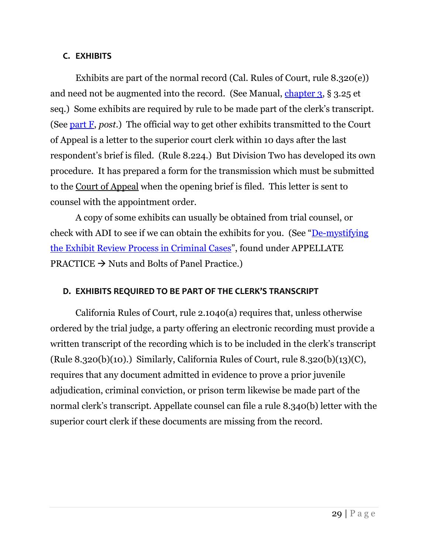## <span id="page-29-0"></span>**C. EXHIBITS**

Exhibits are part of the normal record (Cal. Rules of Court, rule 8.320(e)) and need not be augmented into the record. (See Manual, [chapter 3,](http://adi-sandiego.com/panel/manual/Chapter_3_Prebriefing_responsibilities.pdf#202007) § 3.25 et seq.) Some exhibits are required by rule to be made part of the clerk's transcript. (See [part F,](#page-30-1) *post*.) The official way to get other exhibits transmitted to the Court of Appeal is a letter to the superior court clerk within 10 days after the last respondent's brief is filed. (Rule 8.224.) But Division Two has developed its own procedure. It has prepared a form for the transmission which must be submitted to the Court of Appeal when the opening brief is filed. This letter is sent to counsel with the appointment order.

A copy of some exhibits can usually be obtained from trial counsel, or check with ADI to see if we can obtain the exhibits for you. (See "[De-mystifying](http://www.adi-sandiego.com/practice/pract_articles.asp)  [the Exhibit Review Process in Criminal Cases](http://www.adi-sandiego.com/practice/pract_articles.asp)", found under APPELLATE  $PRACTICE \rightarrow Nuts$  and Bolts of Panel Practice.

## <span id="page-29-1"></span>**D. EXHIBITS REQUIRED TO BE PART OF THE CLERK'S TRANSCRIPT**

<span id="page-29-2"></span>California Rules of Court, rule 2.1040(a) requires that, unless otherwise ordered by the trial judge, a party offering an electronic recording must provide a written transcript of the recording which is to be included in the clerk's transcript (Rule 8.320(b)(10).) Similarly, California Rules of Court, rule 8.320(b)(13)(C), requires that any document admitted in evidence to prove a prior juvenile adjudication, criminal conviction, or prison term likewise be made part of the normal clerk's transcript. Appellate counsel can file a rule 8.340(b) letter with the superior court clerk if these documents are missing from the record.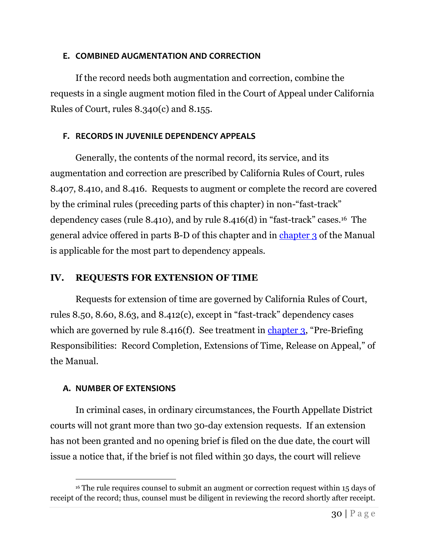#### <span id="page-30-0"></span>**E. COMBINED AUGMENTATION AND CORRECTION**

If the record needs both augmentation and correction, combine the requests in a single augment motion filed in the Court of Appeal under California Rules of Court, rules 8.340(c) and 8.155.

## <span id="page-30-1"></span>**F. RECORDS IN JUVENILE DEPENDENCY APPEALS**

Generally, the contents of the normal record, its service, and its augmentation and correction are prescribed by California Rules of Court, rules 8.407, 8.410, and 8.416. Requests to augment or complete the record are covered by the criminal rules (preceding parts of this chapter) in non-"fast-track" dependency cases (rule 8.410), and by rule 8.416(d) in "fast-track" cases.16 The general advice offered in parts B-D of this chapter and in [chapter 3](http://adi-sandiego.com/panel/manual/Chapter_3_Prebriefing_responsibilities.pdf#202007) of the Manual is applicable for the most part to dependency appeals.

## <span id="page-30-2"></span>**IV. REQUESTS FOR EXTENSION OF TIME**

Requests for extension of time are governed by California Rules of Court, rules 8.50, 8.60, 8.63, and 8.412(c), except in "fast-track" dependency cases which are governed by rule 8.416(f). See treatment in [chapter](http://adi-sandiego.com/panel/manual/Chapter_3_Prebriefing_responsibilities.pdf#202007) 3, "Pre-Briefing Responsibilities: Record Completion, Extensions of Time, Release on Appeal," of the Manual.

## <span id="page-30-3"></span>**A. NUMBER OF EXTENSIONS**

In criminal cases, in ordinary circumstances, the Fourth Appellate District courts will not grant more than two 30-day extension requests. If an extension has not been granted and no opening brief is filed on the due date, the court will issue a notice that, if the brief is not filed within 30 days, the court will relieve

<sup>&</sup>lt;sup>16</sup> The rule requires counsel to submit an augment or correction request within 15 days of receipt of the record; thus, counsel must be diligent in reviewing the record shortly after receipt.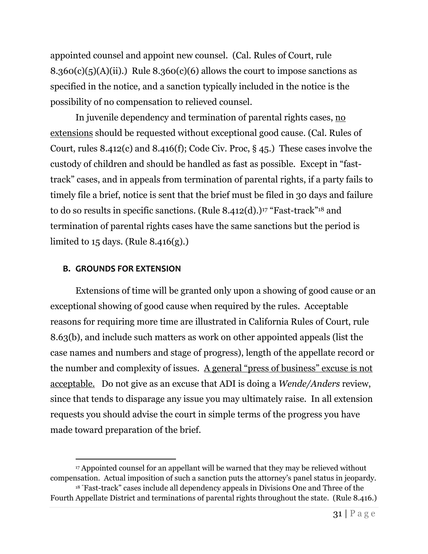appointed counsel and appoint new counsel. (Cal. Rules of Court, rule  $8.360(c)(5)(A)(ii)$ .) Rule  $8.360(c)(6)$  allows the court to impose sanctions as specified in the notice, and a sanction typically included in the notice is the possibility of no compensation to relieved counsel.

In juvenile dependency and termination of parental rights cases, no extensions should be requested without exceptional good cause. (Cal. Rules of Court, rules 8.412(c) and 8.416(f); Code Civ. Proc, § 45.) These cases involve the custody of children and should be handled as fast as possible. Except in "fasttrack" cases, and in appeals from termination of parental rights, if a party fails to timely file a brief, notice is sent that the brief must be filed in 30 days and failure to do so results in specific sanctions. (Rule  $8.412(d).$ )<sup>17</sup> "Fast-track"<sup>18</sup> and termination of parental rights cases have the same sanctions but the period is limited to  $15$  days. (Rule  $8.416(g)$ .)

#### <span id="page-31-0"></span>**B. GROUNDS FOR EXTENSION**

Extensions of time will be granted only upon a showing of good cause or an exceptional showing of good cause when required by the rules. Acceptable reasons for requiring more time are illustrated in California Rules of Court, rule 8.63(b), and include such matters as work on other appointed appeals (list the case names and numbers and stage of progress), length of the appellate record or the number and complexity of issues. A general "press of business" excuse is not acceptable. Do not give as an excuse that ADI is doing a *Wende/Anders* review, since that tends to disparage any issue you may ultimately raise. In all extension requests you should advise the court in simple terms of the progress you have made toward preparation of the brief.

<sup>17</sup> Appointed counsel for an appellant will be warned that they may be relieved without compensation. Actual imposition of such a sanction puts the attorney's panel status in jeopardy.

<sup>&</sup>lt;sup>18</sup> "Fast-track" cases include all dependency appeals in Divisions One and Three of the Fourth Appellate District and terminations of parental rights throughout the state. (Rule 8.416.)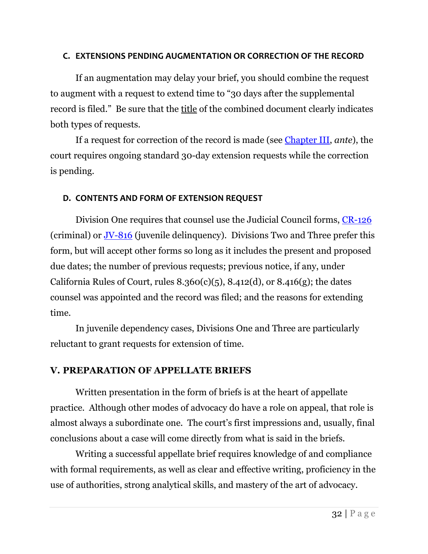#### <span id="page-32-0"></span>**C. EXTENSIONS PENDING AUGMENTATION OR CORRECTION OF THE RECORD**

If an augmentation may delay your brief, you should combine the request to augment with a request to extend time to "30 days after the supplemental record is filed." Be sure that the title of the combined document clearly indicates both types of requests.

If a request for correction of the record is made (see [Chapter III,](#page-28-2) *ante*), the court requires ongoing standard 30-day extension requests while the correction is pending.

## <span id="page-32-1"></span>**D. CONTENTS AND FORM OF EXTENSION REQUEST**

Division One requires that counsel use the Judicial Council forms, [CR-126](https://selfhelp.courts.ca.gov/jcc-form/CR-126) (criminal) or [JV-816](https://selfhelp.courts.ca.gov/jcc-form/JV-816) (juvenile delinquency). Divisions Two and Three prefer this form, but will accept other forms so long as it includes the present and proposed due dates; the number of previous requests; previous notice, if any, under California Rules of Court, rules  $8.360(c)(5)$ ,  $8.412(d)$ , or  $8.416(g)$ ; the dates counsel was appointed and the record was filed; and the reasons for extending time.

In juvenile dependency cases, Divisions One and Three are particularly reluctant to grant requests for extension of time.

## <span id="page-32-2"></span>**V. PREPARATION OF APPELLATE BRIEFS**

<span id="page-32-3"></span>Written presentation in the form of briefs is at the heart of appellate practice. Although other modes of advocacy do have a role on appeal, that role is almost always a subordinate one. The court's first impressions and, usually, final conclusions about a case will come directly from what is said in the briefs.

Writing a successful appellate brief requires knowledge of and compliance with formal requirements, as well as clear and effective writing, proficiency in the use of authorities, strong analytical skills, and mastery of the art of advocacy.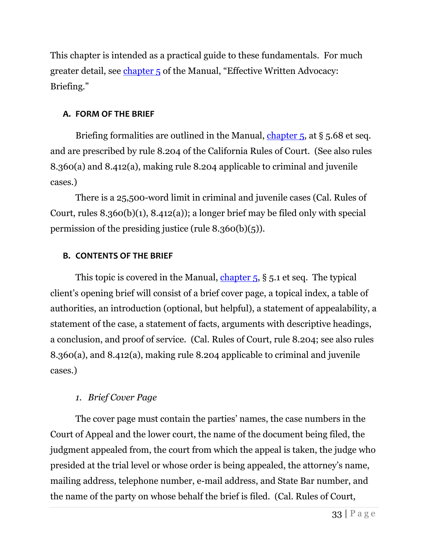This chapter is intended as a practical guide to these fundamentals. For much greater detail, see [chapter 5](http://adi-sandiego.com/panel/manual/Chapter_5_Briefing.pdf#202007) of the Manual, "Effective Written Advocacy: Briefing."

## <span id="page-33-0"></span>**A. FORM OF THE BRIEF**

Briefing formalities are outlined in the Manual, [chapter 5,](http://adi-sandiego.com/panel/manual/Chapter_5_Briefing.pdf#202007) at § 5.68 et seq. and are prescribed by rule 8.204 of the California Rules of Court. (See also rules 8.360(a) and 8.412(a), making rule 8.204 applicable to criminal and juvenile cases.)

There is a 25,500-word limit in criminal and juvenile cases (Cal. Rules of Court, rules 8.360(b)(1), 8.412(a)); a longer brief may be filed only with special permission of the presiding justice (rule 8.360(b)(5)).

## <span id="page-33-1"></span>**B. CONTENTS OF THE BRIEF**

This topic is covered in the Manual, chapter  $5, 8, 5.1$  et seq. The typical client's opening brief will consist of a brief cover page, a topical index, a table of authorities, an introduction (optional, but helpful), a statement of appealability, a statement of the case, a statement of facts, arguments with descriptive headings, a conclusion, and proof of service. (Cal. Rules of Court, rule 8.204; see also rules 8.360(a), and 8.412(a), making rule 8.204 applicable to criminal and juvenile cases.)

## <span id="page-33-2"></span>*1. Brief Cover Page*

The cover page must contain the parties' names, the case numbers in the Court of Appeal and the lower court, the name of the document being filed, the judgment appealed from, the court from which the appeal is taken, the judge who presided at the trial level or whose order is being appealed, the attorney's name, mailing address, telephone number, e-mail address, and State Bar number, and the name of the party on whose behalf the brief is filed. (Cal. Rules of Court,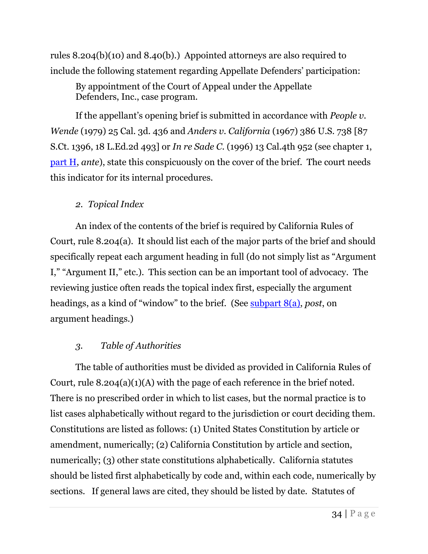rules 8.204(b)(10) and 8.40(b).) Appointed attorneys are also required to include the following statement regarding Appellate Defenders' participation:

By appointment of the Court of Appeal under the Appellate Defenders, Inc., case program.

If the appellant's opening brief is submitted in accordance with *People v. Wende* (1979) 25 Cal. 3d. 436 and *Anders v. California* (1967) 386 U.S. 738 [87 S.Ct. 1396, 18 L.Ed.2d 493] or *In re Sade C.* (1996) 13 Cal.4th 952 (see chapter 1, [part H,](#page-22-0) *ante*), state this conspicuously on the cover of the brief. The court needs this indicator for its internal procedures.

## <span id="page-34-0"></span>*2. Topical Index*

An index of the contents of the brief is required by California Rules of Court, rule 8.204(a). It should list each of the major parts of the brief and should specifically repeat each argument heading in full (do not simply list as "Argument I," "Argument II," etc.). This section can be an important tool of advocacy. The reviewing justice often reads the topical index first, especially the argument headings, as a kind of "window" to the brief. (See [subpart 8\(a\),](#page-39-1) *post*, on argument headings.)

## <span id="page-34-1"></span>*3. Table of Authorities*

The table of authorities must be divided as provided in California Rules of Court, rule  $8.204(a)(1)(A)$  with the page of each reference in the brief noted. There is no prescribed order in which to list cases, but the normal practice is to list cases alphabetically without regard to the jurisdiction or court deciding them. Constitutions are listed as follows: (1) United States Constitution by article or amendment, numerically; (2) California Constitution by article and section, numerically; (3) other state constitutions alphabetically. California statutes should be listed first alphabetically by code and, within each code, numerically by sections. If general laws are cited, they should be listed by date. Statutes of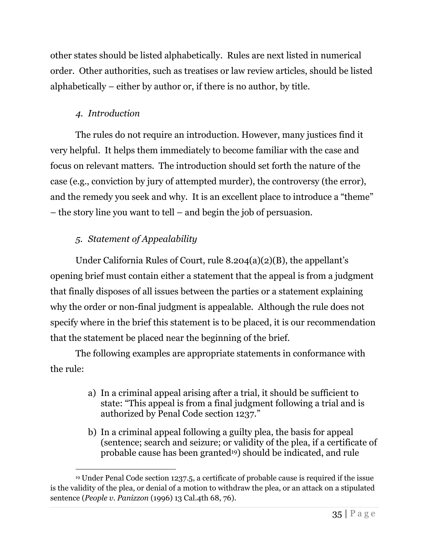other states should be listed alphabetically. Rules are next listed in numerical order. Other authorities, such as treatises or law review articles, should be listed alphabetically – either by author or, if there is no author, by title.

## <span id="page-35-0"></span>*4. Introduction*

The rules do not require an introduction. However, many justices find it very helpful. It helps them immediately to become familiar with the case and focus on relevant matters. The introduction should set forth the nature of the case (e.g., conviction by jury of attempted murder), the controversy (the error), and the remedy you seek and why. It is an excellent place to introduce a "theme" – the story line you want to tell – and begin the job of persuasion.

## <span id="page-35-1"></span>*5. Statement of Appealability*

Under California Rules of Court, rule 8.204(a)(2)(B), the appellant's opening brief must contain either a statement that the appeal is from a judgment that finally disposes of all issues between the parties or a statement explaining why the order or non-final judgment is appealable. Although the rule does not specify where in the brief this statement is to be placed, it is our recommendation that the statement be placed near the beginning of the brief.

The following examples are appropriate statements in conformance with the rule:

- a) In a criminal appeal arising after a trial, it should be sufficient to state: "This appeal is from a final judgment following a trial and is authorized by Penal Code section 1237."
- b) In a criminal appeal following a guilty plea, the basis for appeal (sentence; search and seizure; or validity of the plea, if a certificate of probable cause has been granted19) should be indicated, and rule

<sup>19</sup> Under Penal Code section 1237.5, a certificate of probable cause is required if the issue is the validity of the plea, or denial of a motion to withdraw the plea, or an attack on a stipulated sentence (*People v. Panizzon* (1996) 13 Cal.4th 68, 76).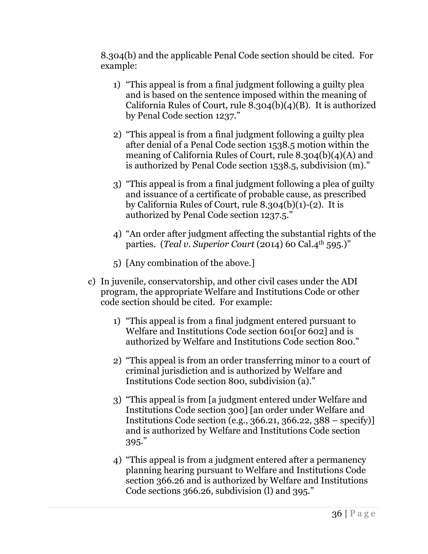8.304(b) and the applicable Penal Code section should be cited. For example:

- 1) "This appeal is from a final judgment following a guilty plea and is based on the sentence imposed within the meaning of California Rules of Court, rule 8.304(b)(4)(B). It is authorized by Penal Code section 1237."
- 2) "This appeal is from a final judgment following a guilty plea after denial of a Penal Code section 1538.5 motion within the meaning of California Rules of Court, rule 8.304(b)(4)(A) and is authorized by Penal Code section 1538.5, subdivision (m)."
- 3) "This appeal is from a final judgment following a plea of guilty and issuance of a certificate of probable cause, as prescribed by California Rules of Court, rule 8.304(b)(1)-(2). It is authorized by Penal Code section 1237.5."
- 4) "An order after judgment affecting the substantial rights of the parties. (*Teal v. Superior Court* (2014) 60 Cal.4<sup>th</sup> 595.)"
- 5) [Any combination of the above.]
- c) In juvenile, conservatorship, and other civil cases under the ADI program, the appropriate Welfare and Institutions Code or other code section should be cited. For example:
	- 1) "This appeal is from a final judgment entered pursuant to Welfare and Institutions Code section 601[or 602] and is authorized by Welfare and Institutions Code section 800."
	- 2) "This appeal is from an order transferring minor to a court of criminal jurisdiction and is authorized by Welfare and Institutions Code section 800, subdivision (a)."
	- 3) "This appeal is from [a judgment entered under Welfare and Institutions Code section 300] [an order under Welfare and Institutions Code section (e.g., 366.21, 366.22, 388 – specify)] and is authorized by Welfare and Institutions Code section 395."
	- 4) "This appeal is from a judgment entered after a permanency planning hearing pursuant to Welfare and Institutions Code section 366.26 and is authorized by Welfare and Institutions Code sections 366.26, subdivision (l) and 395."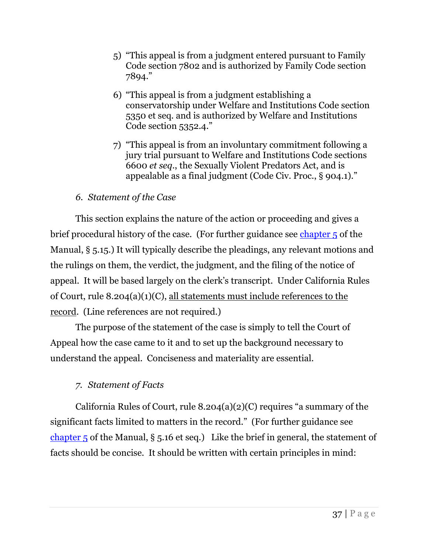- 5) "This appeal is from a judgment entered pursuant to Family Code section 7802 and is authorized by Family Code section 7894."
- 6) "This appeal is from a judgment establishing a conservatorship under Welfare and Institutions Code section 5350 et seq. and is authorized by Welfare and Institutions Code section 5352.4."
- 7) "This appeal is from an involuntary commitment following a jury trial pursuant to Welfare and Institutions Code sections 6600 *et seq.*, the Sexually Violent Predators Act, and is appealable as a final judgment (Code Civ. Proc., § 904.1)."

## *6. Statement of the Case*

<span id="page-37-0"></span>This section explains the nature of the action or proceeding and gives a brief procedural history of the case. (For further guidance see [chapter 5](http://adi-sandiego.com/panel/manual/Chapter_5_Briefing.pdf#202007) of the Manual, § 5.15.) It will typically describe the pleadings, any relevant motions and the rulings on them, the verdict, the judgment, and the filing of the notice of appeal. It will be based largely on the clerk's transcript. Under California Rules of Court, rule 8.204(a)(1)(C), all statements must include references to the record. (Line references are not required.)

The purpose of the statement of the case is simply to tell the Court of Appeal how the case came to it and to set up the background necessary to understand the appeal. Conciseness and materiality are essential.

## <span id="page-37-1"></span>*7. Statement of Facts*

California Rules of Court, rule 8.204(a)(2)(C) requires "a summary of the significant facts limited to matters in the record." (For further guidance see chapter  $\overline{5}$  of the Manual, § 5.16 et seq.) Like the brief in general, the statement of facts should be concise. It should be written with certain principles in mind: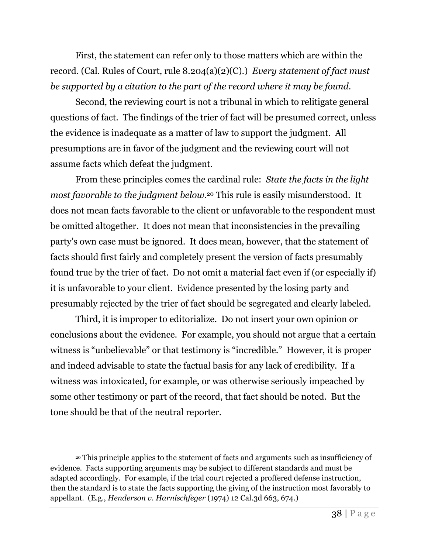First, the statement can refer only to those matters which are within the record. (Cal. Rules of Court, rule 8.204(a)(2)(C).) *Every statement of fact must be supported by a citation to the part of the record where it may be found*.

Second, the reviewing court is not a tribunal in which to relitigate general questions of fact. The findings of the trier of fact will be presumed correct, unless the evidence is inadequate as a matter of law to support the judgment. All presumptions are in favor of the judgment and the reviewing court will not assume facts which defeat the judgment.

From these principles comes the cardinal rule: *State the facts in the light most favorable to the judgment below*. <sup>20</sup> This rule is easily misunderstood. It does not mean facts favorable to the client or unfavorable to the respondent must be omitted altogether. It does not mean that inconsistencies in the prevailing party's own case must be ignored. It does mean, however, that the statement of facts should first fairly and completely present the version of facts presumably found true by the trier of fact. Do not omit a material fact even if (or especially if) it is unfavorable to your client. Evidence presented by the losing party and presumably rejected by the trier of fact should be segregated and clearly labeled.

Third, it is improper to editorialize. Do not insert your own opinion or conclusions about the evidence. For example, you should not argue that a certain witness is "unbelievable" or that testimony is "incredible." However, it is proper and indeed advisable to state the factual basis for any lack of credibility. If a witness was intoxicated, for example, or was otherwise seriously impeached by some other testimony or part of the record, that fact should be noted. But the tone should be that of the neutral reporter.

<sup>20</sup> This principle applies to the statement of facts and arguments such as insufficiency of evidence. Facts supporting arguments may be subject to different standards and must be adapted accordingly. For example, if the trial court rejected a proffered defense instruction, then the standard is to state the facts supporting the giving of the instruction most favorably to appellant. (E.g., *Henderson v. Harnischfeger* (1974) 12 Cal.3d 663, 674.)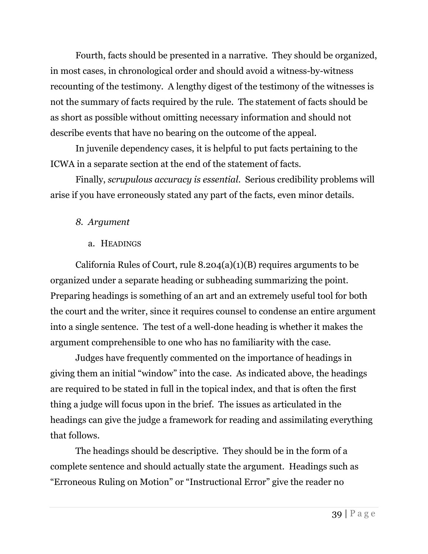Fourth, facts should be presented in a narrative. They should be organized, in most cases, in chronological order and should avoid a witness-by-witness recounting of the testimony. A lengthy digest of the testimony of the witnesses is not the summary of facts required by the rule. The statement of facts should be as short as possible without omitting necessary information and should not describe events that have no bearing on the outcome of the appeal.

In juvenile dependency cases, it is helpful to put facts pertaining to the ICWA in a separate section at the end of the statement of facts.

Finally, *scrupulous accuracy is essential*. Serious credibility problems will arise if you have erroneously stated any part of the facts, even minor details.

## <span id="page-39-0"></span>*8. Argument*

## a. HEADINGS

<span id="page-39-1"></span>California Rules of Court, rule  $8.204(a)(1)(B)$  requires arguments to be organized under a separate heading or subheading summarizing the point. Preparing headings is something of an art and an extremely useful tool for both the court and the writer, since it requires counsel to condense an entire argument into a single sentence. The test of a well-done heading is whether it makes the argument comprehensible to one who has no familiarity with the case.

Judges have frequently commented on the importance of headings in giving them an initial "window" into the case. As indicated above, the headings are required to be stated in full in the topical index, and that is often the first thing a judge will focus upon in the brief. The issues as articulated in the headings can give the judge a framework for reading and assimilating everything that follows.

The headings should be descriptive. They should be in the form of a complete sentence and should actually state the argument. Headings such as "Erroneous Ruling on Motion" or "Instructional Error" give the reader no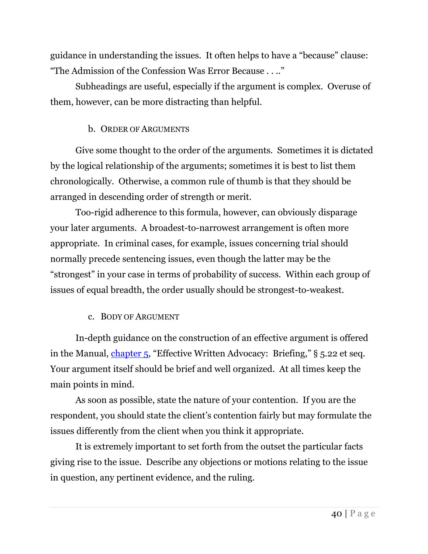guidance in understanding the issues. It often helps to have a "because" clause: "The Admission of the Confession Was Error Because . . .."

Subheadings are useful, especially if the argument is complex. Overuse of them, however, can be more distracting than helpful.

## b. ORDER OF ARGUMENTS

Give some thought to the order of the arguments. Sometimes it is dictated by the logical relationship of the arguments; sometimes it is best to list them chronologically. Otherwise, a common rule of thumb is that they should be arranged in descending order of strength or merit.

Too-rigid adherence to this formula, however, can obviously disparage your later arguments. A broadest-to-narrowest arrangement is often more appropriate. In criminal cases, for example, issues concerning trial should normally precede sentencing issues, even though the latter may be the "strongest" in your case in terms of probability of success. Within each group of issues of equal breadth, the order usually should be strongest-to-weakest.

## c. BODY OF ARGUMENT

In-depth guidance on the construction of an effective argument is offered in the Manual, [chapter 5](http://adi-sandiego.com/panel/manual/Chapter_5_Briefing.pdf#202007), "Effective Written Advocacy: Briefing," § 5.22 et seq. Your argument itself should be brief and well organized. At all times keep the main points in mind.

As soon as possible, state the nature of your contention. If you are the respondent, you should state the client's contention fairly but may formulate the issues differently from the client when you think it appropriate.

It is extremely important to set forth from the outset the particular facts giving rise to the issue. Describe any objections or motions relating to the issue in question, any pertinent evidence, and the ruling.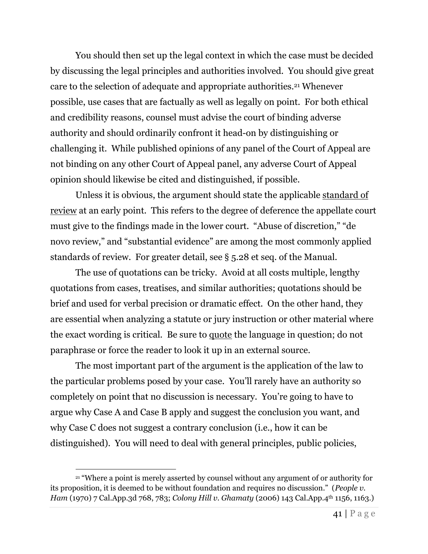You should then set up the legal context in which the case must be decided by discussing the legal principles and authorities involved. You should give great care to the selection of adequate and appropriate authorities.<sup>21</sup> Whenever possible, use cases that are factually as well as legally on point. For both ethical and credibility reasons, counsel must advise the court of binding adverse authority and should ordinarily confront it head-on by distinguishing or challenging it. While published opinions of any panel of the Court of Appeal are not binding on any other Court of Appeal panel, any adverse Court of Appeal opinion should likewise be cited and distinguished, if possible.

Unless it is obvious, the argument should state the applicable standard of review at an early point. This refers to the degree of deference the appellate court must give to the findings made in the lower court. "Abuse of discretion," "de novo review," and "substantial evidence" are among the most commonly applied standards of review. For greater detail, see § 5.28 et seq. of the Manual.

The use of quotations can be tricky. Avoid at all costs multiple, lengthy quotations from cases, treatises, and similar authorities; quotations should be brief and used for verbal precision or dramatic effect. On the other hand, they are essential when analyzing a statute or jury instruction or other material where the exact wording is critical. Be sure to quote the language in question; do not paraphrase or force the reader to look it up in an external source.

The most important part of the argument is the application of the law to the particular problems posed by your case. You'll rarely have an authority so completely on point that no discussion is necessary. You're going to have to argue why Case A and Case B apply and suggest the conclusion you want, and why Case C does not suggest a contrary conclusion (i.e., how it can be distinguished). You will need to deal with general principles, public policies,

<sup>&</sup>lt;sup>21</sup> "Where a point is merely asserted by counsel without any argument of or authority for its proposition, it is deemed to be without foundation and requires no discussion." (*People v. Ham* (1970) 7 Cal.App.3d 768, 783; *Colony Hill v. Ghamaty* (2006) 143 Cal.App.4th 1156, 1163.)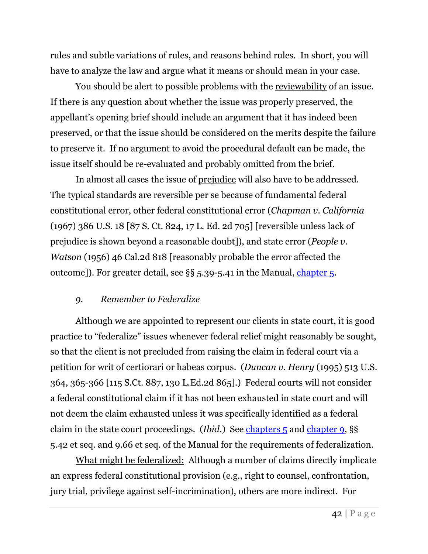rules and subtle variations of rules, and reasons behind rules. In short, you will have to analyze the law and argue what it means or should mean in your case.

You should be alert to possible problems with the reviewability of an issue. If there is any question about whether the issue was properly preserved, the appellant's opening brief should include an argument that it has indeed been preserved, or that the issue should be considered on the merits despite the failure to preserve it. If no argument to avoid the procedural default can be made, the issue itself should be re-evaluated and probably omitted from the brief.

In almost all cases the issue of prejudice will also have to be addressed. The typical standards are reversible per se because of fundamental federal constitutional error, other federal constitutional error (*Chapman v. California* (1967) 386 U.S. 18 [87 S. Ct. 824, 17 L. Ed. 2d 705] [reversible unless lack of prejudice is shown beyond a reasonable doubt]), and state error (*People v. Watson* (1956) 46 Cal.2d 818 [reasonably probable the error affected the outcome]). For greater detail, see §§ 5.39-5.41 in the Manual, [chapter 5.](http://adi-sandiego.com/panel/manual/Chapter_5_Briefing.pdf#202007)

## <span id="page-42-0"></span>*9. Remember to Federalize*

Although we are appointed to represent our clients in state court, it is good practice to "federalize" issues whenever federal relief might reasonably be sought, so that the client is not precluded from raising the claim in federal court via a petition for writ of certiorari or habeas corpus. (*Duncan v. Henry* (1995) 513 U.S. 364, 365-366 [115 S.Ct. 887, 130 L.Ed.2d 865].) Federal courts will not consider a federal constitutional claim if it has not been exhausted in state court and will not deem the claim exhausted unless it was specifically identified as a federal claim in the state court proceedings. (*Ibid*.) See [chapters 5](http://adi-sandiego.com/panel/manual/Chapter_5_Briefing.pdf#202007) and [chapter 9,](http://adi-sandiego.com/panel/manual/Chapter_9_Federal_habeas_corpus.pdf#202007) §§ 5.42 et seq. and 9.66 et seq. of the Manual for the requirements of federalization.

What might be federalized: Although a number of claims directly implicate an express federal constitutional provision (e.g., right to counsel, confrontation, jury trial, privilege against self-incrimination), others are more indirect. For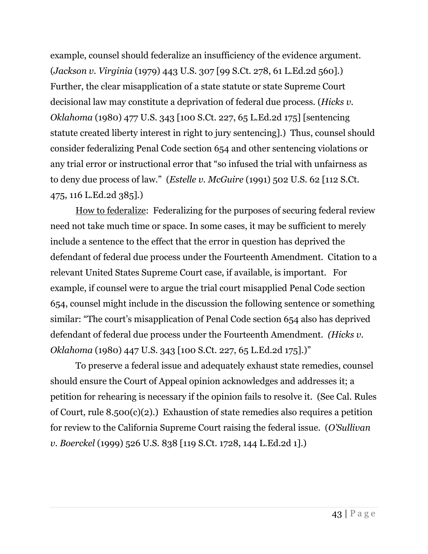example, counsel should federalize an insufficiency of the evidence argument. (*Jackson v. Virginia* (1979) 443 U.S. 307 [99 S.Ct. 278, 61 L.Ed.2d 560].) Further, the clear misapplication of a state statute or state Supreme Court decisional law may constitute a deprivation of federal due process. (*Hicks v. Oklahoma* (1980) 477 U.S. 343 [100 S.Ct. 227, 65 L.Ed.2d 175] [sentencing statute created liberty interest in right to jury sentencing].) Thus, counsel should consider federalizing Penal Code section 654 and other sentencing violations or any trial error or instructional error that "so infused the trial with unfairness as to deny due process of law." (*Estelle v. McGuire* (1991) 502 U.S. 62 [112 S.Ct. 475, 116 L.Ed.2d 385].)

How to federalize: Federalizing for the purposes of securing federal review need not take much time or space. In some cases, it may be sufficient to merely include a sentence to the effect that the error in question has deprived the defendant of federal due process under the Fourteenth Amendment. Citation to a relevant United States Supreme Court case, if available, is important. For example, if counsel were to argue the trial court misapplied Penal Code section 654, counsel might include in the discussion the following sentence or something similar: "The court's misapplication of Penal Code section 654 also has deprived defendant of federal due process under the Fourteenth Amendment. *(Hicks v. Oklahoma* (1980) 447 U.S. 343 [100 S.Ct. 227, 65 L.Ed.2d 175].)"

To preserve a federal issue and adequately exhaust state remedies, counsel should ensure the Court of Appeal opinion acknowledges and addresses it; a petition for rehearing is necessary if the opinion fails to resolve it. (See Cal. Rules of Court, rule  $8.500(c)(2)$ .) Exhaustion of state remedies also requires a petition for review to the California Supreme Court raising the federal issue. (*O'Sullivan v. Boerckel* (1999) 526 U.S. 838 [119 S.Ct. 1728, 144 L.Ed.2d 1].)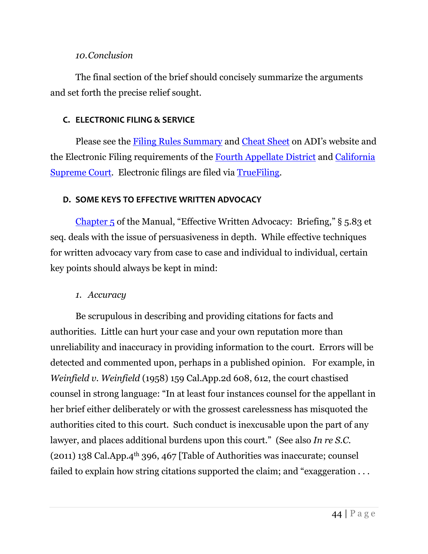#### *10.Conclusion*

<span id="page-44-0"></span>The final section of the brief should concisely summarize the arguments and set forth the precise relief sought.

## <span id="page-44-1"></span>**C. ELECTRONIC FILING & SERVICE**

Please see the [Filing Rules Summary](http://adi-sandiego.com/practice/filing_service_chart.asp) and [Cheat Sheet](http://adi-sandiego.com/practice/service_quick_reference.asp) on ADI's website and the Electronic Filing requirements of the [Fourth Appellate District](https://www.courts.ca.gov/4dca-efile.htm) and [California](https://www.courts.ca.gov/24590.htm)  [Supreme Court.](https://www.courts.ca.gov/24590.htm) Electronic filings are filed via [TrueFiling.](https://tf3.truefiling.com/login?ReturnUrl=%2Fcases&TimeOut=True)

## <span id="page-44-2"></span>**D. SOME KEYS TO EFFECTIVE WRITTEN ADVOCACY**

[Chapter 5](http://adi-sandiego.com/panel/manual/Chapter_5_Briefing.pdf#202007) of the Manual, "Effective Written Advocacy: Briefing," § 5.83 et seq. deals with the issue of persuasiveness in depth. While effective techniques for written advocacy vary from case to case and individual to individual, certain key points should always be kept in mind:

## <span id="page-44-3"></span>*1. Accuracy*

Be scrupulous in describing and providing citations for facts and authorities. Little can hurt your case and your own reputation more than unreliability and inaccuracy in providing information to the court. Errors will be detected and commented upon, perhaps in a published opinion. For example, in *Weinfield v. Weinfield* (1958) 159 Cal.App.2d 608, 612, the court chastised counsel in strong language: "In at least four instances counsel for the appellant in her brief either deliberately or with the grossest carelessness has misquoted the authorities cited to this court. Such conduct is inexcusable upon the part of any lawyer, and places additional burdens upon this court." (See also *In re S.C.*  $(2011)$  138 Cal.App.4<sup>th</sup> 396, 467 [Table of Authorities was inaccurate; counsel failed to explain how string citations supported the claim; and "exaggeration . . .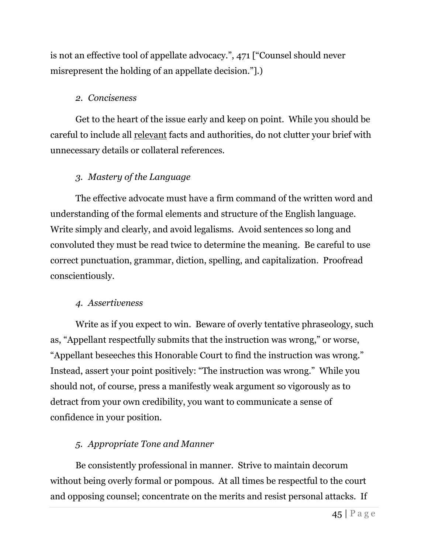is not an effective tool of appellate advocacy.", 471 ["Counsel should never misrepresent the holding of an appellate decision."].)

## <span id="page-45-0"></span>*2. Conciseness*

Get to the heart of the issue early and keep on point. While you should be careful to include all relevant facts and authorities, do not clutter your brief with unnecessary details or collateral references.

## <span id="page-45-1"></span>*3. Mastery of the Language*

The effective advocate must have a firm command of the written word and understanding of the formal elements and structure of the English language. Write simply and clearly, and avoid legalisms. Avoid sentences so long and convoluted they must be read twice to determine the meaning. Be careful to use correct punctuation, grammar, diction, spelling, and capitalization. Proofread conscientiously.

## <span id="page-45-2"></span>*4. Assertiveness*

Write as if you expect to win. Beware of overly tentative phraseology, such as, "Appellant respectfully submits that the instruction was wrong," or worse, "Appellant beseeches this Honorable Court to find the instruction was wrong." Instead, assert your point positively: "The instruction was wrong." While you should not, of course, press a manifestly weak argument so vigorously as to detract from your own credibility, you want to communicate a sense of confidence in your position.

## <span id="page-45-3"></span>*5. Appropriate Tone and Manner*

Be consistently professional in manner. Strive to maintain decorum without being overly formal or pompous. At all times be respectful to the court and opposing counsel; concentrate on the merits and resist personal attacks. If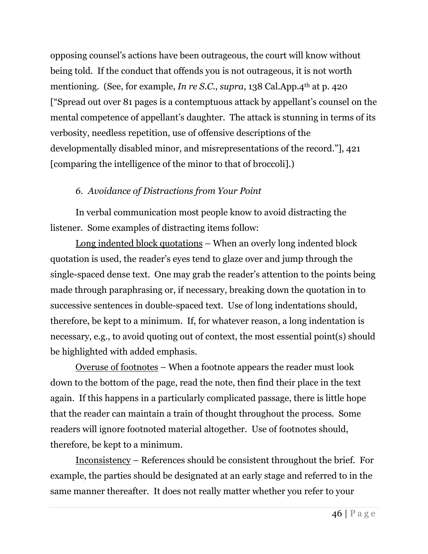opposing counsel's actions have been outrageous, the court will know without being told. If the conduct that offends you is not outrageous, it is not worth mentioning. (See, for example, *In re S.C.*, *supra*, 138 Cal.App.4<sup>th</sup> at p. 420 ["Spread out over 81 pages is a contemptuous attack by appellant's counsel on the mental competence of appellant's daughter. The attack is stunning in terms of its verbosity, needless repetition, use of offensive descriptions of the developmentally disabled minor, and misrepresentations of the record."], 421 [comparing the intelligence of the minor to that of broccoli].)

## <span id="page-46-0"></span>*6. Avoidance of Distractions from Your Point*

In verbal communication most people know to avoid distracting the listener. Some examples of distracting items follow:

Long indented block quotations – When an overly long indented block quotation is used, the reader's eyes tend to glaze over and jump through the single-spaced dense text. One may grab the reader's attention to the points being made through paraphrasing or, if necessary, breaking down the quotation in to successive sentences in double-spaced text. Use of long indentations should, therefore, be kept to a minimum. If, for whatever reason, a long indentation is necessary, e.g., to avoid quoting out of context, the most essential point(s) should be highlighted with added emphasis.

Overuse of footnotes – When a footnote appears the reader must look down to the bottom of the page, read the note, then find their place in the text again. If this happens in a particularly complicated passage, there is little hope that the reader can maintain a train of thought throughout the process. Some readers will ignore footnoted material altogether. Use of footnotes should, therefore, be kept to a minimum.

Inconsistency – References should be consistent throughout the brief. For example, the parties should be designated at an early stage and referred to in the same manner thereafter. It does not really matter whether you refer to your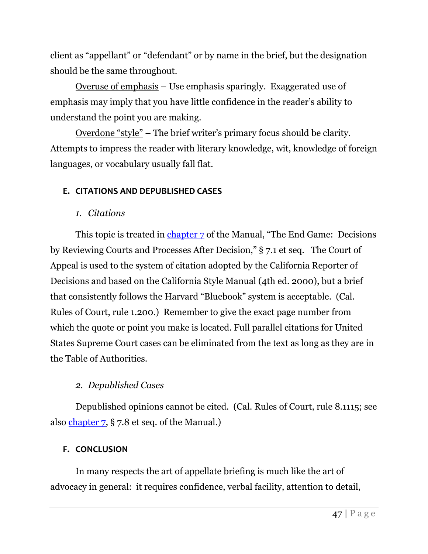client as "appellant" or "defendant" or by name in the brief, but the designation should be the same throughout.

Overuse of emphasis – Use emphasis sparingly. Exaggerated use of emphasis may imply that you have little confidence in the reader's ability to understand the point you are making.

Overdone "style" – The brief writer's primary focus should be clarity. Attempts to impress the reader with literary knowledge, wit, knowledge of foreign languages, or vocabulary usually fall flat.

## <span id="page-47-0"></span>**E. CITATIONS AND DEPUBLISHED CASES**

## *1. Citations*

<span id="page-47-1"></span>This topic is treated in [chapter 7](http://adi-sandiego.com/panel/manual/Chapter_7_Decisions_and_later.pdf#202007) of the Manual, "The End Game: Decisions" by Reviewing Courts and Processes After Decision," § 7.1 et seq. The Court of Appeal is used to the system of citation adopted by the California Reporter of Decisions and based on the California Style Manual (4th ed. 2000), but a brief that consistently follows the Harvard "Bluebook" system is acceptable. (Cal. Rules of Court, rule 1.200.) Remember to give the exact page number from which the quote or point you make is located. Full parallel citations for United States Supreme Court cases can be eliminated from the text as long as they are in the Table of Authorities.

## <span id="page-47-2"></span>*2. Depublished Cases*

Depublished opinions cannot be cited. (Cal. Rules of Court, rule 8.1115; see also [chapter 7,](http://adi-sandiego.com/panel/manual/Chapter_7_Decisions_and_later.pdf#202007) § 7.8 et seq. of the Manual.)

## <span id="page-47-3"></span>**F. CONCLUSION**

In many respects the art of appellate briefing is much like the art of advocacy in general: it requires confidence, verbal facility, attention to detail,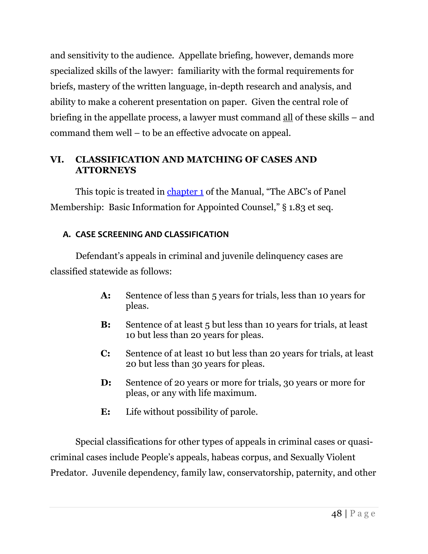and sensitivity to the audience. Appellate briefing, however, demands more specialized skills of the lawyer: familiarity with the formal requirements for briefs, mastery of the written language, in-depth research and analysis, and ability to make a coherent presentation on paper. Given the central role of briefing in the appellate process, a lawyer must command all of these skills – and command them well – to be an effective advocate on appeal.

## <span id="page-48-0"></span>**VI. CLASSIFICATION AND MATCHING OF CASES AND ATTORNEYS**

This topic is treated in [chapter 1](http://adi-sandiego.com/panel/manual/Chapter_1_Basic_Information.pdf#202007) of the Manual, "The ABC's of Panel" Membership: Basic Information for Appointed Counsel," § 1.83 et seq.

## <span id="page-48-1"></span>**A. CASE SCREENING AND CLASSIFICATION**

Defendant's appeals in criminal and juvenile delinquency cases are classified statewide as follows:

- **A:** Sentence of less than 5 years for trials, less than 10 years for pleas.
- **B:** Sentence of at least 5 but less than 10 years for trials, at least 10 but less than 20 years for pleas.
- **C:** Sentence of at least 10 but less than 20 years for trials, at least 20 but less than 30 years for pleas.
- **D:** Sentence of 20 years or more for trials, 30 years or more for pleas, or any with life maximum.
- **E:** Life without possibility of parole.

Special classifications for other types of appeals in criminal cases or quasicriminal cases include People's appeals, habeas corpus, and Sexually Violent Predator. Juvenile dependency, family law, conservatorship, paternity, and other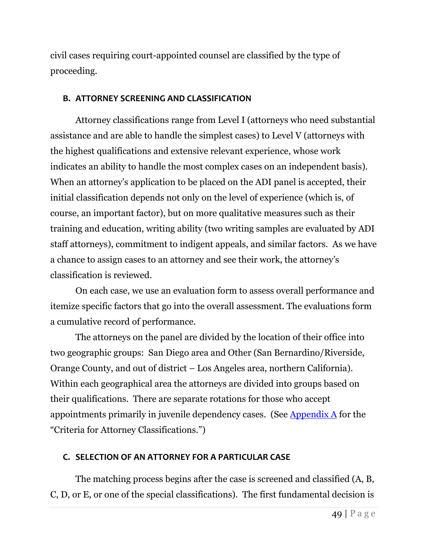civil cases requiring court-appointed counsel are classified by the type of proceeding.

#### <span id="page-49-0"></span>**B. ATTORNEY SCREENING AND CLASSIFICATION**

Attorney classifications range from Level I (attorneys who need substantial assistance and are able to handle the simplest cases) to Level V (attorneys with the highest qualifications and extensive relevant experience, whose work indicates an ability to handle the most complex cases on an independent basis). When an attorney's application to be placed on the ADI panel is accepted, their initial classification depends not only on the level of experience (which is, of course, an important factor), but on more qualitative measures such as their training and education, writing ability (two writing samples are evaluated by ADI staff attorneys), commitment to indigent appeals, and similar factors. As we have a chance to assign cases to an attorney and see their work, the attorney's classification is reviewed.

On each case, we use an evaluation form to assess overall performance and itemize specific factors that go into the overall assessment. The evaluations form a cumulative record of performance.

The attorneys on the panel are divided by the location of their office into two geographic groups: San Diego area and Other (San Bernardino/Riverside, Orange County, and out of district – Los Angeles area, northern California). Within each geographical area the attorneys are divided into groups based on their qualifications. There are separate rotations for those who accept appointments primarily in juvenile dependency cases. (See [Appendix A](#page-59-0) for the "Criteria for Attorney Classifications.")

## <span id="page-49-1"></span>**C. SELECTION OF AN ATTORNEY FOR A PARTICULAR CASE**

The matching process begins after the case is screened and classified (A, B, C, D, or E, or one of the special classifications). The first fundamental decision is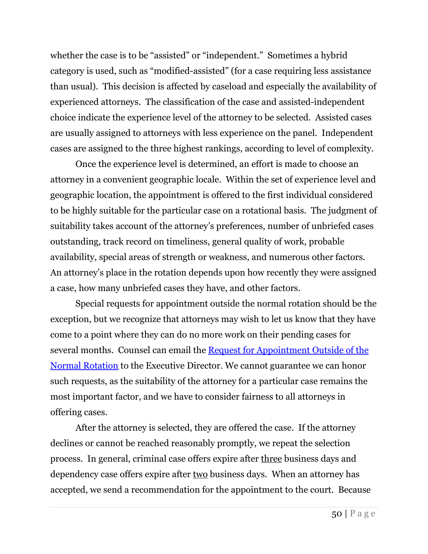whether the case is to be "assisted" or "independent." Sometimes a hybrid category is used, such as "modified-assisted" (for a case requiring less assistance than usual). This decision is affected by caseload and especially the availability of experienced attorneys. The classification of the case and assisted-independent choice indicate the experience level of the attorney to be selected. Assisted cases are usually assigned to attorneys with less experience on the panel. Independent cases are assigned to the three highest rankings, according to level of complexity.

Once the experience level is determined, an effort is made to choose an attorney in a convenient geographic locale. Within the set of experience level and geographic location, the appointment is offered to the first individual considered to be highly suitable for the particular case on a rotational basis. The judgment of suitability takes account of the attorney's preferences, number of unbriefed cases outstanding, track record on timeliness, general quality of work, probable availability, special areas of strength or weakness, and numerous other factors. An attorney's place in the rotation depends upon how recently they were assigned a case, how many unbriefed cases they have, and other factors.

Special requests for appointment outside the normal rotation should be the exception, but we recognize that attorneys may wish to let us know that they have come to a point where they can do no more work on their pending cases for several months. Counsel can email the Request for Appointment Outside of the [Normal Rotation](http://adi-sandiego.com/pdf_forms/Appointment_request_out_of_rotation_fillable_for_website-2.pdf) to the Executive Director. We cannot guarantee we can honor such requests, as the suitability of the attorney for a particular case remains the most important factor, and we have to consider fairness to all attorneys in offering cases.

After the attorney is selected, they are offered the case. If the attorney declines or cannot be reached reasonably promptly, we repeat the selection process. In general, criminal case offers expire after three business days and dependency case offers expire after two business days. When an attorney has accepted, we send a recommendation for the appointment to the court. Because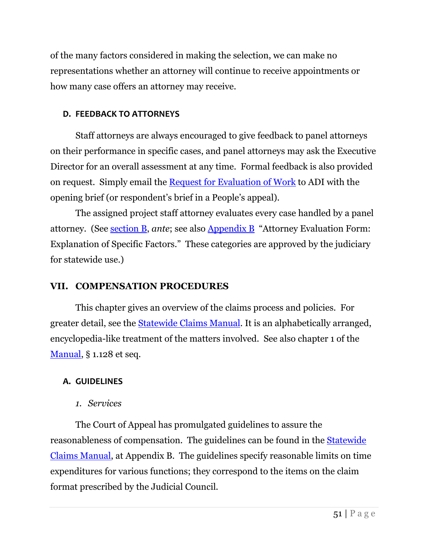of the many factors considered in making the selection, we can make no representations whether an attorney will continue to receive appointments or how many case offers an attorney may receive.

## <span id="page-51-0"></span>**D. FEEDBACK TO ATTORNEYS**

Staff attorneys are always encouraged to give feedback to panel attorneys on their performance in specific cases, and panel attorneys may ask the Executive Director for an overall assessment at any time. Formal feedback is also provided on request. Simply email the [Request for Evaluation of Work](http://adi-sandiego.com/pdf_forms/Evaluation_request.pdf) to ADI with the opening brief (or respondent's brief in a People's appeal).

The assigned project staff attorney evaluates every case handled by a panel attorney. (See [section B,](#page-49-0) *ante*; see also [Appendix B](#page-61-0) "Attorney Evaluation Form: Explanation of Specific Factors." These categories are approved by the judiciary for statewide use.)

## <span id="page-51-1"></span>**VII. COMPENSATION PROCEDURES**

This chapter gives an overview of the claims process and policies. For greater detail, see the [Statewide Claims](https://www.capcentral.org/claims/claims_manual.asp) Manual. It is an alphabetically arranged, encyclopedia-like treatment of the matters involved. See also chapter 1 of the [Manual,](http://adi-sandiego.com/panel/manual.asp) § 1.128 et seq.

## <span id="page-51-2"></span>**A. GUIDELINES**

*1. Services*

<span id="page-51-3"></span>The Court of Appeal has promulgated guidelines to assure the reasonableness of compensation. The guidelines can be found in the [Statewide](https://www.capcentral.org/claims/claims_manual.asp)  [Claims Manual,](https://www.capcentral.org/claims/claims_manual.asp) at Appendix B. The guidelines specify reasonable limits on time expenditures for various functions; they correspond to the items on the claim format prescribed by the Judicial Council.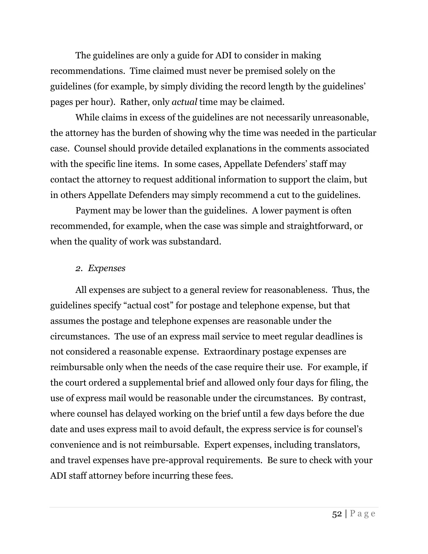The guidelines are only a guide for ADI to consider in making recommendations. Time claimed must never be premised solely on the guidelines (for example, by simply dividing the record length by the guidelines' pages per hour). Rather, only *actual* time may be claimed.

While claims in excess of the guidelines are not necessarily unreasonable, the attorney has the burden of showing why the time was needed in the particular case. Counsel should provide detailed explanations in the comments associated with the specific line items. In some cases, Appellate Defenders' staff may contact the attorney to request additional information to support the claim, but in others Appellate Defenders may simply recommend a cut to the guidelines.

Payment may be lower than the guidelines. A lower payment is often recommended, for example, when the case was simple and straightforward, or when the quality of work was substandard.

## <span id="page-52-0"></span>*2. Expenses*

All expenses are subject to a general review for reasonableness. Thus, the guidelines specify "actual cost" for postage and telephone expense, but that assumes the postage and telephone expenses are reasonable under the circumstances. The use of an express mail service to meet regular deadlines is not considered a reasonable expense. Extraordinary postage expenses are reimbursable only when the needs of the case require their use. For example, if the court ordered a supplemental brief and allowed only four days for filing, the use of express mail would be reasonable under the circumstances. By contrast, where counsel has delayed working on the brief until a few days before the due date and uses express mail to avoid default, the express service is for counsel's convenience and is not reimbursable. Expert expenses, including translators, and travel expenses have pre-approval requirements. Be sure to check with your ADI staff attorney before incurring these fees.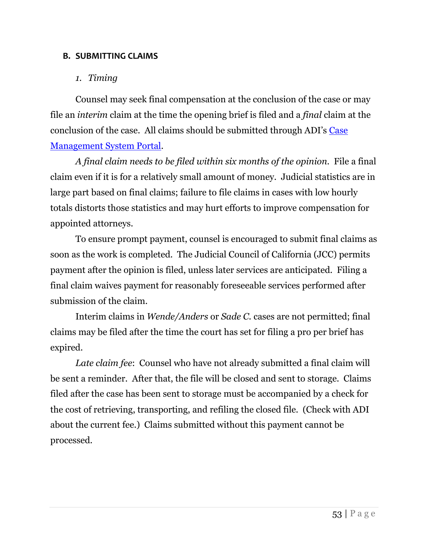#### <span id="page-53-0"></span>**B. SUBMITTING CLAIMS**

## *1. Timing*

<span id="page-53-1"></span>Counsel may seek final compensation at the conclusion of the case or may file an *interim* claim at the time the opening brief is filed and a *final* claim at the conclusion of the case. All claims should be submitted through ADI's [Case](https://cms.adi-sandiego.com/)  [Management System Portal.](https://cms.adi-sandiego.com/)

*A final claim needs to be filed within six months of the opinion.* File a final claim even if it is for a relatively small amount of money. Judicial statistics are in large part based on final claims; failure to file claims in cases with low hourly totals distorts those statistics and may hurt efforts to improve compensation for appointed attorneys.

To ensure prompt payment, counsel is encouraged to submit final claims as soon as the work is completed. The Judicial Council of California (JCC) permits payment after the opinion is filed, unless later services are anticipated. Filing a final claim waives payment for reasonably foreseeable services performed after submission of the claim.

Interim claims in *Wende/Anders* or *Sade C.* cases are not permitted; final claims may be filed after the time the court has set for filing a pro per brief has expired.

*Late claim fee*: Counsel who have not already submitted a final claim will be sent a reminder. After that, the file will be closed and sent to storage. Claims filed after the case has been sent to storage must be accompanied by a check for the cost of retrieving, transporting, and refiling the closed file. (Check with ADI about the current fee.) Claims submitted without this payment cannot be processed.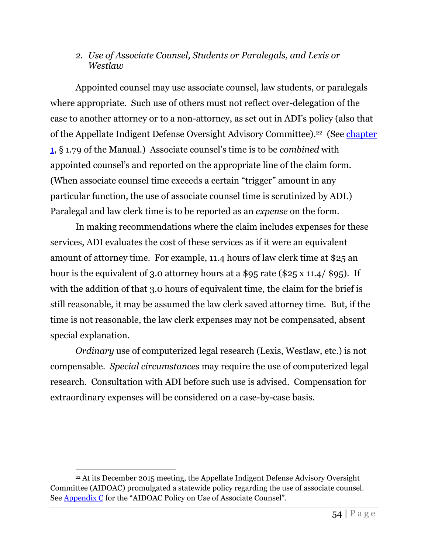## <span id="page-54-0"></span>*2. Use of Associate Counsel, Students or Paralegals, and Lexis or Westlaw*

Appointed counsel may use associate counsel, law students, or paralegals where appropriate. Such use of others must not reflect over-delegation of the case to another attorney or to a non-attorney, as set out in ADI's policy (also that of the Appellate Indigent Defense Oversight Advisory Committee).<sup>22</sup> (See *chapter* [1,](http://adi-sandiego.com/panel/manual/Chapter_1_Basic_Information.pdf#202007) § 1.79 of the Manual.) Associate counsel's time is to be *combined* with appointed counsel's and reported on the appropriate line of the claim form. (When associate counsel time exceeds a certain "trigger" amount in any particular function, the use of associate counsel time is scrutinized by ADI.) Paralegal and law clerk time is to be reported as an *expense* on the form.

In making recommendations where the claim includes expenses for these services, ADI evaluates the cost of these services as if it were an equivalent amount of attorney time. For example, 11.4 hours of law clerk time at \$25 an hour is the equivalent of 3.0 attorney hours at a \$95 rate (\$25 x 11.4/ \$95). If with the addition of that 3.0 hours of equivalent time, the claim for the brief is still reasonable, it may be assumed the law clerk saved attorney time. But, if the time is not reasonable, the law clerk expenses may not be compensated, absent special explanation.

*Ordinary* use of computerized legal research (Lexis, Westlaw, etc.) is not compensable. *Special circumstances* may require the use of computerized legal research. Consultation with ADI before such use is advised. Compensation for extraordinary expenses will be considered on a case-by-case basis.

<sup>22</sup> At its December 2015 meeting, the Appellate Indigent Defense Advisory Oversight Committee (AIDOAC) promulgated a statewide policy regarding the use of associate counsel. See [Appendix C](#page-66-0) for the "AIDOAC Policy on Use of Associate Counsel".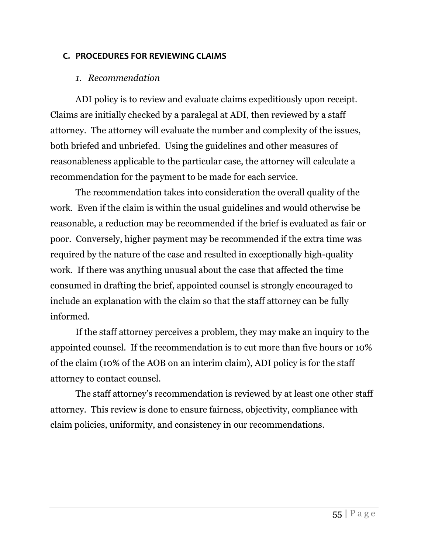#### <span id="page-55-0"></span>**C. PROCEDURES FOR REVIEWING CLAIMS**

#### *1. Recommendation*

<span id="page-55-1"></span>ADI policy is to review and evaluate claims expeditiously upon receipt. Claims are initially checked by a paralegal at ADI, then reviewed by a staff attorney. The attorney will evaluate the number and complexity of the issues, both briefed and unbriefed. Using the guidelines and other measures of reasonableness applicable to the particular case, the attorney will calculate a recommendation for the payment to be made for each service.

The recommendation takes into consideration the overall quality of the work. Even if the claim is within the usual guidelines and would otherwise be reasonable, a reduction may be recommended if the brief is evaluated as fair or poor. Conversely, higher payment may be recommended if the extra time was required by the nature of the case and resulted in exceptionally high-quality work. If there was anything unusual about the case that affected the time consumed in drafting the brief, appointed counsel is strongly encouraged to include an explanation with the claim so that the staff attorney can be fully informed.

If the staff attorney perceives a problem, they may make an inquiry to the appointed counsel. If the recommendation is to cut more than five hours or 10% of the claim (10% of the AOB on an interim claim), ADI policy is for the staff attorney to contact counsel.

The staff attorney's recommendation is reviewed by at least one other staff attorney. This review is done to ensure fairness, objectivity, compliance with claim policies, uniformity, and consistency in our recommendations.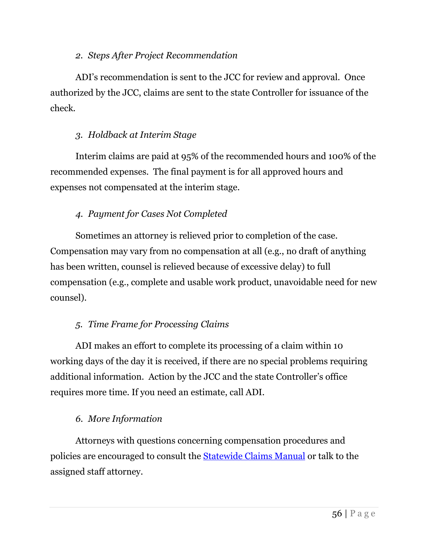## *2. Steps After Project Recommendation*

<span id="page-56-0"></span>ADI's recommendation is sent to the JCC for review and approval. Once authorized by the JCC, claims are sent to the state Controller for issuance of the check.

## <span id="page-56-1"></span>*3. Holdback at Interim Stage*

Interim claims are paid at 95% of the recommended hours and 100% of the recommended expenses. The final payment is for all approved hours and expenses not compensated at the interim stage.

## <span id="page-56-2"></span>*4. Payment for Cases Not Completed*

Sometimes an attorney is relieved prior to completion of the case. Compensation may vary from no compensation at all (e.g., no draft of anything has been written, counsel is relieved because of excessive delay) to full compensation (e.g., complete and usable work product, unavoidable need for new counsel).

## <span id="page-56-3"></span>*5. Time Frame for Processing Claims*

ADI makes an effort to complete its processing of a claim within 10 working days of the day it is received, if there are no special problems requiring additional information. Action by the JCC and the state Controller's office requires more time. If you need an estimate, call ADI.

## <span id="page-56-4"></span>*6. More Information*

Attorneys with questions concerning compensation procedures and policies are encouraged to consult the [Statewide Claims Manual](https://cms.adi-sandiego.com/) or talk to the assigned staff attorney.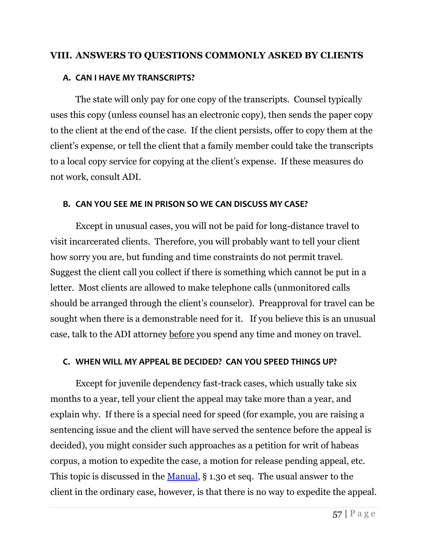#### <span id="page-57-0"></span>**VIII. ANSWERS TO QUESTIONS COMMONLY ASKED BY CLIENTS**

#### <span id="page-57-1"></span>**A. CAN I HAVE MY TRANSCRIPTS?**

The state will only pay for one copy of the transcripts. Counsel typically uses this copy (unless counsel has an electronic copy), then sends the paper copy to the client at the end of the case. If the client persists, offer to copy them at the client's expense, or tell the client that a family member could take the transcripts to a local copy service for copying at the client's expense. If these measures do not work, consult ADI.

#### <span id="page-57-2"></span>**B. CAN YOU SEE ME IN PRISON SO WE CAN DISCUSS MY CASE?**

Except in unusual cases, you will not be paid for long-distance travel to visit incarcerated clients. Therefore, you will probably want to tell your client how sorry you are, but funding and time constraints do not permit travel. Suggest the client call you collect if there is something which cannot be put in a letter. Most clients are allowed to make telephone calls (unmonitored calls should be arranged through the client's counselor). Preapproval for travel can be sought when there is a demonstrable need for it. If you believe this is an unusual case, talk to the ADI attorney before you spend any time and money on travel.

## <span id="page-57-3"></span>**C. WHEN WILL MY APPEAL BE DECIDED? CAN YOU SPEED THINGS UP?**

Except for juvenile dependency fast-track cases, which usually take six months to a year, tell your client the appeal may take more than a year, and explain why. If there is a special need for speed (for example, you are raising a sentencing issue and the client will have served the sentence before the appeal is decided), you might consider such approaches as a petition for writ of habeas corpus, a motion to expedite the case, a motion for release pending appeal, etc. This topic is discussed in the [Manual,](http://adi-sandiego.com/panel/manual/Chapter_1_Basic_Information.pdf#202007) § 1.30 et seq. The usual answer to the client in the ordinary case, however, is that there is no way to expedite the appeal.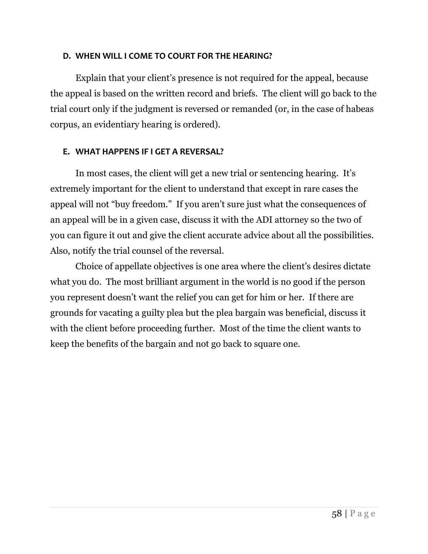#### <span id="page-58-0"></span>**D. WHEN WILL I COME TO COURT FOR THE HEARING?**

Explain that your client's presence is not required for the appeal, because the appeal is based on the written record and briefs. The client will go back to the trial court only if the judgment is reversed or remanded (or, in the case of habeas corpus, an evidentiary hearing is ordered).

#### <span id="page-58-1"></span>**E. WHAT HAPPENS IF I GET A REVERSAL?**

In most cases, the client will get a new trial or sentencing hearing. It's extremely important for the client to understand that except in rare cases the appeal will not "buy freedom." If you aren't sure just what the consequences of an appeal will be in a given case, discuss it with the ADI attorney so the two of you can figure it out and give the client accurate advice about all the possibilities. Also, notify the trial counsel of the reversal.

Choice of appellate objectives is one area where the client's desires dictate what you do. The most brilliant argument in the world is no good if the person you represent doesn't want the relief you can get for him or her. If there are grounds for vacating a guilty plea but the plea bargain was beneficial, discuss it with the client before proceeding further. Most of the time the client wants to keep the benefits of the bargain and not go back to square one.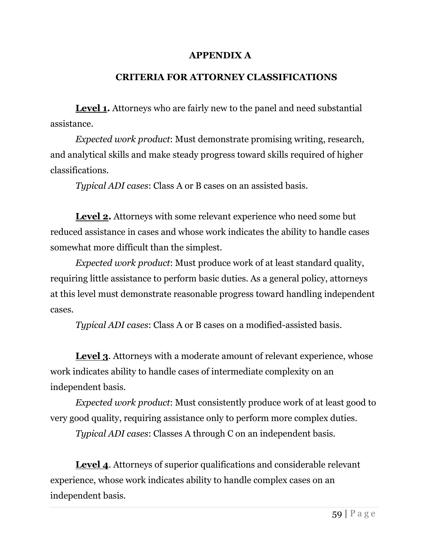## **APPENDIX A**

#### **CRITERIA FOR ATTORNEY CLASSIFICATIONS**

<span id="page-59-0"></span>Level **1.** Attorneys who are fairly new to the panel and need substantial assistance.

*Expected work product*: Must demonstrate promising writing, research, and analytical skills and make steady progress toward skills required of higher classifications.

*Typical ADI cases*: Class A or B cases on an assisted basis.

**Level 2.** Attorneys with some relevant experience who need some but reduced assistance in cases and whose work indicates the ability to handle cases somewhat more difficult than the simplest.

*Expected work product*: Must produce work of at least standard quality, requiring little assistance to perform basic duties. As a general policy, attorneys at this level must demonstrate reasonable progress toward handling independent cases.

*Typical ADI cases*: Class A or B cases on a modified-assisted basis.

**Level 3**. Attorneys with a moderate amount of relevant experience, whose work indicates ability to handle cases of intermediate complexity on an independent basis.

*Expected work product*: Must consistently produce work of at least good to very good quality, requiring assistance only to perform more complex duties.

*Typical ADI cases*: Classes A through C on an independent basis.

**Level 4.** Attorneys of superior qualifications and considerable relevant experience, whose work indicates ability to handle complex cases on an independent basis.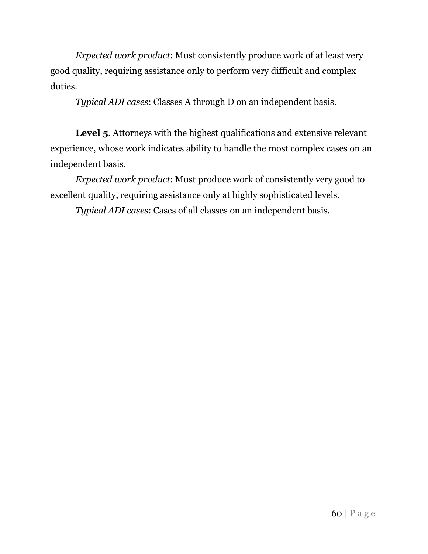*Expected work product*: Must consistently produce work of at least very good quality, requiring assistance only to perform very difficult and complex duties.

*Typical ADI cases*: Classes A through D on an independent basis.

**Level 5**. Attorneys with the highest qualifications and extensive relevant experience, whose work indicates ability to handle the most complex cases on an independent basis.

*Expected work product*: Must produce work of consistently very good to excellent quality, requiring assistance only at highly sophisticated levels.

*Typical ADI cases*: Cases of all classes on an independent basis.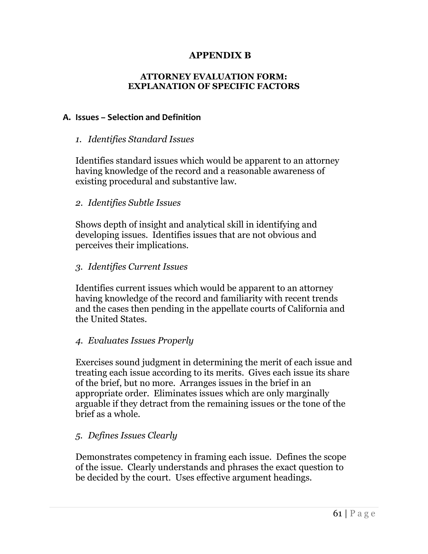## **APPENDIX B**

#### **ATTORNEY EVALUATION FORM: EXPLANATION OF SPECIFIC FACTORS**

#### <span id="page-61-2"></span><span id="page-61-1"></span><span id="page-61-0"></span>**A. Issues – Selection and Definition**

#### *1. Identifies Standard Issues*

Identifies standard issues which would be apparent to an attorney having knowledge of the record and a reasonable awareness of existing procedural and substantive law.

#### <span id="page-61-3"></span>*2. Identifies Subtle Issues*

Shows depth of insight and analytical skill in identifying and developing issues. Identifies issues that are not obvious and perceives their implications.

#### <span id="page-61-4"></span>*3. Identifies Current Issues*

Identifies current issues which would be apparent to an attorney having knowledge of the record and familiarity with recent trends and the cases then pending in the appellate courts of California and the United States.

#### <span id="page-61-5"></span>*4. Evaluates Issues Properly*

Exercises sound judgment in determining the merit of each issue and treating each issue according to its merits. Gives each issue its share of the brief, but no more. Arranges issues in the brief in an appropriate order. Eliminates issues which are only marginally arguable if they detract from the remaining issues or the tone of the brief as a whole.

## <span id="page-61-6"></span>*5. Defines Issues Clearly*

Demonstrates competency in framing each issue. Defines the scope of the issue. Clearly understands and phrases the exact question to be decided by the court. Uses effective argument headings.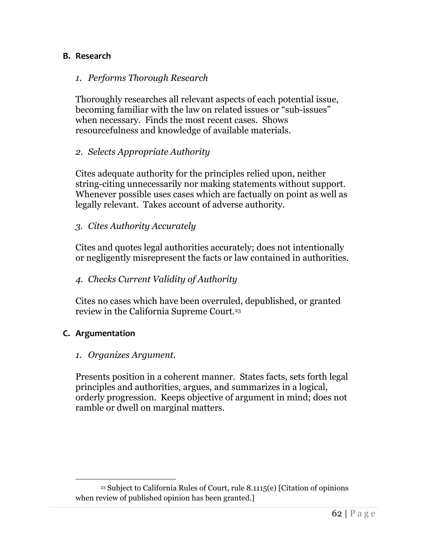#### <span id="page-62-1"></span><span id="page-62-0"></span>**B. Research**

#### *1. Performs Thorough Research*

Thoroughly researches all relevant aspects of each potential issue, becoming familiar with the law on related issues or "sub-issues" when necessary. Finds the most recent cases. Shows resourcefulness and knowledge of available materials.

#### <span id="page-62-2"></span>*2. Selects Appropriate Authority*

Cites adequate authority for the principles relied upon, neither string-citing unnecessarily nor making statements without support. Whenever possible uses cases which are factually on point as well as legally relevant. Takes account of adverse authority.

#### <span id="page-62-3"></span>*3. Cites Authority Accurately*

Cites and quotes legal authorities accurately; does not intentionally or negligently misrepresent the facts or law contained in authorities.

#### <span id="page-62-4"></span>*4. Checks Current Validity of Authority*

Cites no cases which have been overruled, depublished, or granted review in the California Supreme Court.<sup>23</sup>

#### <span id="page-62-6"></span><span id="page-62-5"></span>**C. Argumentation**

#### *1. Organizes Argument.*

Presents position in a coherent manner. States facts, sets forth legal principles and authorities, argues, and summarizes in a logical, orderly progression. Keeps objective of argument in mind; does not ramble or dwell on marginal matters.

<sup>23</sup> Subject to California Rules of Court, rule 8.1115(e) [Citation of opinions when review of published opinion has been granted.]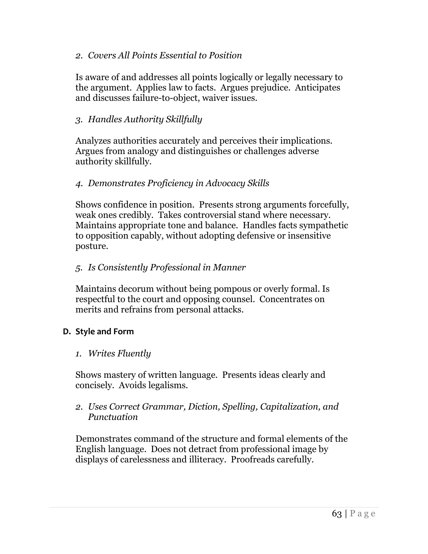#### <span id="page-63-0"></span>*2. Covers All Points Essential to Position*

Is aware of and addresses all points logically or legally necessary to the argument. Applies law to facts. Argues prejudice. Anticipates and discusses failure-to-object, waiver issues.

## <span id="page-63-1"></span>*3. Handles Authority Skillfully*

Analyzes authorities accurately and perceives their implications. Argues from analogy and distinguishes or challenges adverse authority skillfully.

#### <span id="page-63-2"></span>*4. Demonstrates Proficiency in Advocacy Skills*

Shows confidence in position. Presents strong arguments forcefully, weak ones credibly. Takes controversial stand where necessary. Maintains appropriate tone and balance. Handles facts sympathetic to opposition capably, without adopting defensive or insensitive posture.

#### <span id="page-63-3"></span>*5. Is Consistently Professional in Manner*

Maintains decorum without being pompous or overly formal. Is respectful to the court and opposing counsel. Concentrates on merits and refrains from personal attacks.

#### <span id="page-63-5"></span><span id="page-63-4"></span>**D. Style and Form**

#### *1. Writes Fluently*

Shows mastery of written language. Presents ideas clearly and concisely. Avoids legalisms.

#### <span id="page-63-6"></span>*2. Uses Correct Grammar, Diction, Spelling, Capitalization, and Punctuation*

Demonstrates command of the structure and formal elements of the English language. Does not detract from professional image by displays of carelessness and illiteracy. Proofreads carefully.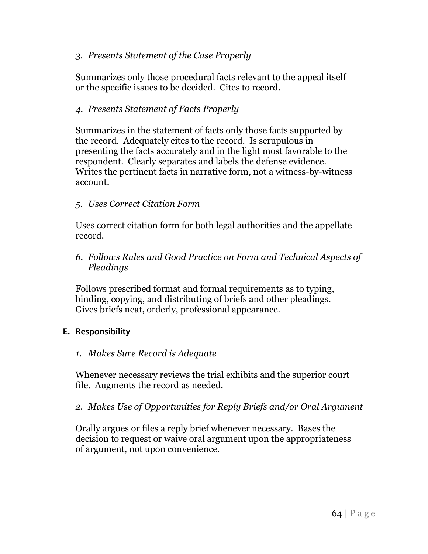## <span id="page-64-0"></span>*3. Presents Statement of the Case Properly*

Summarizes only those procedural facts relevant to the appeal itself or the specific issues to be decided. Cites to record.

#### <span id="page-64-1"></span>*4. Presents Statement of Facts Properly*

Summarizes in the statement of facts only those facts supported by the record. Adequately cites to the record. Is scrupulous in presenting the facts accurately and in the light most favorable to the respondent. Clearly separates and labels the defense evidence. Writes the pertinent facts in narrative form, not a witness-by-witness account.

#### <span id="page-64-2"></span>*5. Uses Correct Citation Form*

Uses correct citation form for both legal authorities and the appellate record.

<span id="page-64-3"></span>*6. Follows Rules and Good Practice on Form and Technical Aspects of Pleadings*

Follows prescribed format and formal requirements as to typing, binding, copying, and distributing of briefs and other pleadings. Gives briefs neat, orderly, professional appearance.

#### <span id="page-64-5"></span><span id="page-64-4"></span>**E. Responsibility**

#### *1. Makes Sure Record is Adequate*

Whenever necessary reviews the trial exhibits and the superior court file. Augments the record as needed.

#### <span id="page-64-6"></span>*2. Makes Use of Opportunities for Reply Briefs and/or Oral Argument*

Orally argues or files a reply brief whenever necessary. Bases the decision to request or waive oral argument upon the appropriateness of argument, not upon convenience.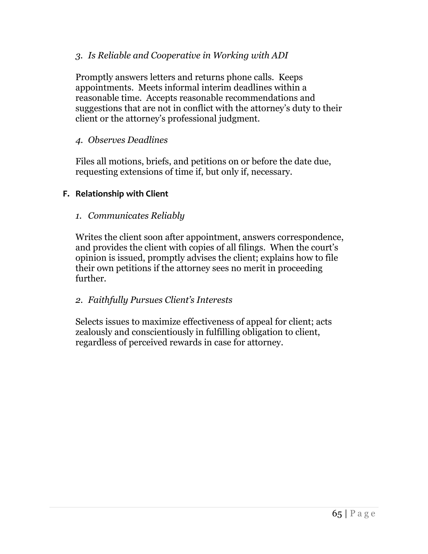#### <span id="page-65-0"></span>*3. Is Reliable and Cooperative in Working with ADI*

Promptly answers letters and returns phone calls. Keeps appointments. Meets informal interim deadlines within a reasonable time. Accepts reasonable recommendations and suggestions that are not in conflict with the attorney's duty to their client or the attorney's professional judgment.

#### <span id="page-65-1"></span>*4. Observes Deadlines*

Files all motions, briefs, and petitions on or before the date due, requesting extensions of time if, but only if, necessary.

#### <span id="page-65-3"></span><span id="page-65-2"></span>**F. Relationship with Client**

#### *1. Communicates Reliably*

Writes the client soon after appointment, answers correspondence, and provides the client with copies of all filings. When the court's opinion is issued, promptly advises the client; explains how to file their own petitions if the attorney sees no merit in proceeding further.

## <span id="page-65-4"></span>*2. Faithfully Pursues Client's Interests*

Selects issues to maximize effectiveness of appeal for client; acts zealously and conscientiously in fulfilling obligation to client, regardless of perceived rewards in case for attorney.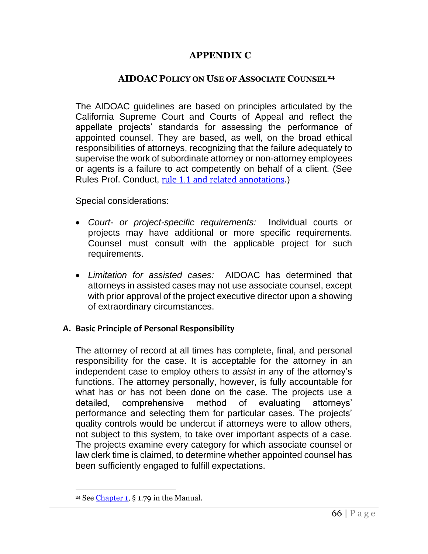## **APPENDIX C**

#### **AIDOAC POLICY ON USE OF ASSOCIATE COUNSEL<sup>24</sup>**

<span id="page-66-0"></span>The AIDOAC guidelines are based on principles articulated by the California Supreme Court and Courts of Appeal and reflect the appellate projects' standards for assessing the performance of appointed counsel. They are based, as well, on the broad ethical responsibilities of attorneys, recognizing that the failure adequately to supervise the work of subordinate attorney or non-attorney employees or agents is a failure to act competently on behalf of a client. (See Rules Prof. Conduct, [rule 1.1 and related annotations](http://www.calbar.ca.gov/Portals/0/documents/rules/Rule_1.1-Exec_Summary-Redline.pdf).)

Special considerations:

- *Court- or project-specific requirements:* Individual courts or projects may have additional or more specific requirements. Counsel must consult with the applicable project for such requirements.
- *Limitation for assisted cases:* AIDOAC has determined that attorneys in assisted cases may not use associate counsel, except with prior approval of the project executive director upon a showing of extraordinary circumstances.

#### <span id="page-66-1"></span>**A. Basic Principle of Personal Responsibility**

The attorney of record at all times has complete, final, and personal responsibility for the case. It is acceptable for the attorney in an independent case to employ others to *assist* in any of the attorney's functions. The attorney personally, however, is fully accountable for what has or has not been done on the case. The projects use a detailed, comprehensive method of evaluating attorneys' performance and selecting them for particular cases. The projects' quality controls would be undercut if attorneys were to allow others, not subject to this system, to take over important aspects of a case. The projects examine every category for which associate counsel or law clerk time is claimed, to determine whether appointed counsel has been sufficiently engaged to fulfill expectations.

<sup>24</sup> See [Chapter 1,](http://adi-sandiego.com/panel/manual/Chapter_1_Basic_Information.pdf#202007) § 1.79 in the Manual.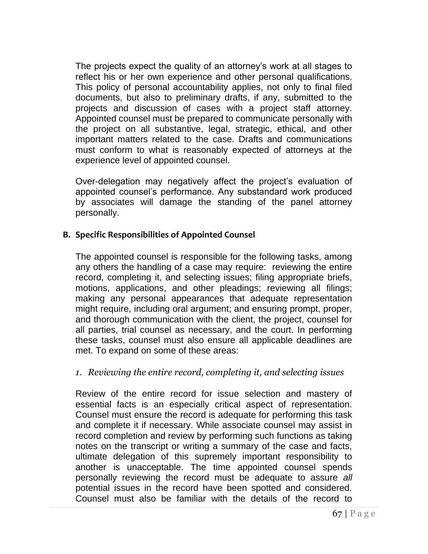The projects expect the quality of an attorney's work at all stages to reflect his or her own experience and other personal qualifications. This policy of personal accountability applies, not only to final filed documents, but also to preliminary drafts, if any, submitted to the projects and discussion of cases with a project staff attorney. Appointed counsel must be prepared to communicate personally with the project on all substantive, legal, strategic, ethical, and other important matters related to the case. Drafts and communications must conform to what is reasonably expected of attorneys at the experience level of appointed counsel.

Over-delegation may negatively affect the project's evaluation of appointed counsel's performance. Any substandard work produced by associates will damage the standing of the panel attorney personally.

## <span id="page-67-0"></span>**B. Specific Responsibilities of Appointed Counsel**

The appointed counsel is responsible for the following tasks, among any others the handling of a case may require: reviewing the entire record, completing it, and selecting issues; filing appropriate briefs, motions, applications, and other pleadings; reviewing all filings; making any personal appearances that adequate representation might require, including oral argument; and ensuring prompt, proper, and thorough communication with the client, the project, counsel for all parties, trial counsel as necessary, and the court. In performing these tasks, counsel must also ensure all applicable deadlines are met. To expand on some of these areas:

## <span id="page-67-1"></span>*1. Reviewing the entire record, completing it, and selecting issues*

Review of the entire record for issue selection and mastery of essential facts is an especially critical aspect of representation. Counsel must ensure the record is adequate for performing this task and complete it if necessary. While associate counsel may assist in record completion and review by performing such functions as taking notes on the transcript or writing a summary of the case and facts, ultimate delegation of this supremely important responsibility to another is unacceptable. The time appointed counsel spends personally reviewing the record must be adequate to assure *all* potential issues in the record have been spotted and considered. Counsel must also be familiar with the details of the record to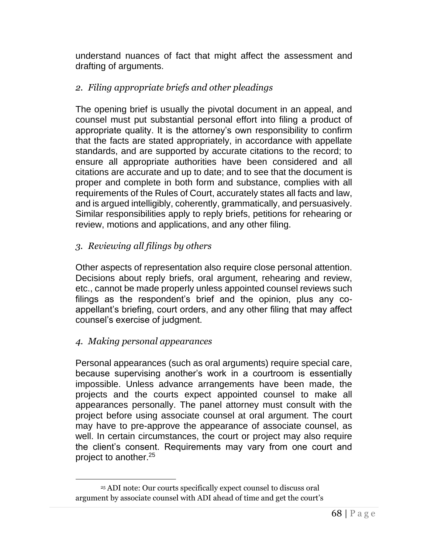understand nuances of fact that might affect the assessment and drafting of arguments.

## <span id="page-68-0"></span>*2. Filing appropriate briefs and other pleadings*

The opening brief is usually the pivotal document in an appeal, and counsel must put substantial personal effort into filing a product of appropriate quality. It is the attorney's own responsibility to confirm that the facts are stated appropriately, in accordance with appellate standards, and are supported by accurate citations to the record; to ensure all appropriate authorities have been considered and all citations are accurate and up to date; and to see that the document is proper and complete in both form and substance, complies with all requirements of the Rules of Court, accurately states all facts and law, and is argued intelligibly, coherently, grammatically, and persuasively. Similar responsibilities apply to reply briefs, petitions for rehearing or review, motions and applications, and any other filing.

## <span id="page-68-1"></span>*3. Reviewing all filings by others*

Other aspects of representation also require close personal attention. Decisions about reply briefs, oral argument, rehearing and review, etc., cannot be made properly unless appointed counsel reviews such filings as the respondent's brief and the opinion, plus any coappellant's briefing, court orders, and any other filing that may affect counsel's exercise of judgment.

## <span id="page-68-2"></span>*4. Making personal appearances*

Personal appearances (such as oral arguments) require special care, because supervising another's work in a courtroom is essentially impossible. Unless advance arrangements have been made, the projects and the courts expect appointed counsel to make all appearances personally. The panel attorney must consult with the project before using associate counsel at oral argument. The court may have to pre-approve the appearance of associate counsel, as well. In certain circumstances, the court or project may also require the client's consent. Requirements may vary from one court and project to another.<sup>25</sup>

<sup>25</sup> ADI note: Our courts specifically expect counsel to discuss oral argument by associate counsel with ADI ahead of time and get the court's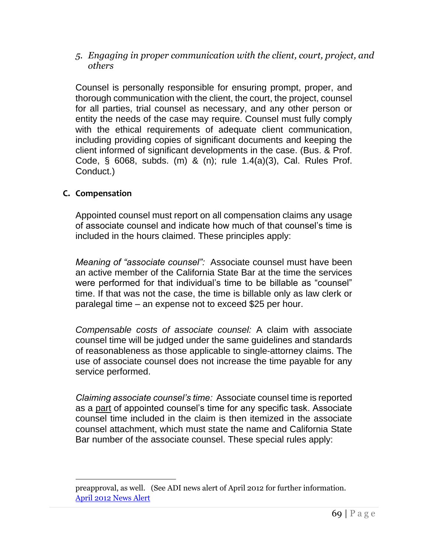<span id="page-69-0"></span>*5. Engaging in proper communication with the client, court, project, and others*

Counsel is personally responsible for ensuring prompt, proper, and thorough communication with the client, the court, the project, counsel for all parties, trial counsel as necessary, and any other person or entity the needs of the case may require. Counsel must fully comply with the ethical requirements of adequate client communication, including providing copies of significant documents and keeping the client informed of significant developments in the case. (Bus. & Prof. Code, § 6068, subds. (m) & (n); rule 1.4(a)(3), Cal. Rules Prof. Conduct.)

## <span id="page-69-1"></span>**C. Compensation**

Appointed counsel must report on all compensation claims any usage of associate counsel and indicate how much of that counsel's time is included in the hours claimed. These principles apply:

*Meaning of "associate counsel":* Associate counsel must have been an active member of the California State Bar at the time the services were performed for that individual's time to be billable as "counsel" time. If that was not the case, the time is billable only as law clerk or paralegal time – an expense not to exceed \$25 per hour.

*Compensable costs of associate counsel:* A claim with associate counsel time will be judged under the same guidelines and standards of reasonableness as those applicable to single-attorney claims. The use of associate counsel does not increase the time payable for any service performed.

*Claiming associate counsel's time:* Associate counsel time is reported as a part of appointed counsel's time for any specific task. Associate counsel time included in the claim is then itemized in the associate counsel attachment, which must state the name and California State Bar number of the associate counsel. These special rules apply:

preapproval, as well. (See [ADI news alert of April 2012](http://www.adi-sandiego.com/news_alerts/pdfs/2012/APRIL_2012_ADI_NEWS_ALERT.pdf) for further information. [April 2012 News Alert](http://adi-sandiego.com/news_alerts/pdfs/2012/APRIL_2012_ADI_NEWS_ALERT.pdf)